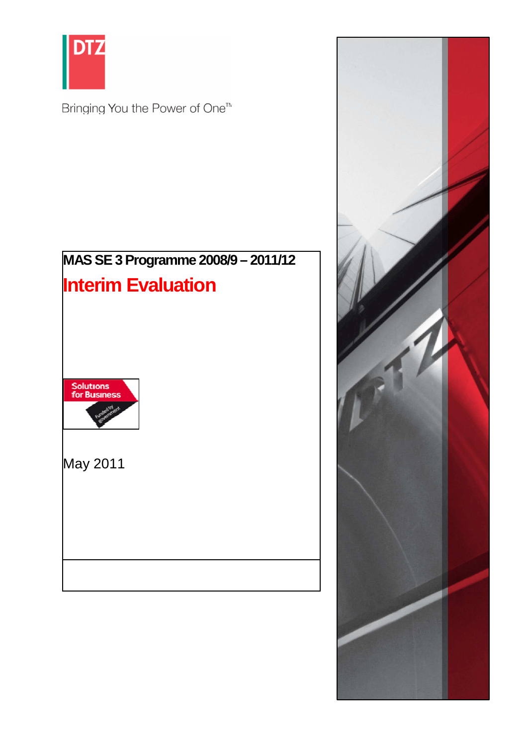

Bringing You the Power of One<sup>™</sup>

# **MAS SE 3 Programme 2008/9 – 2011/12 Interim Evaluation**



May 2011

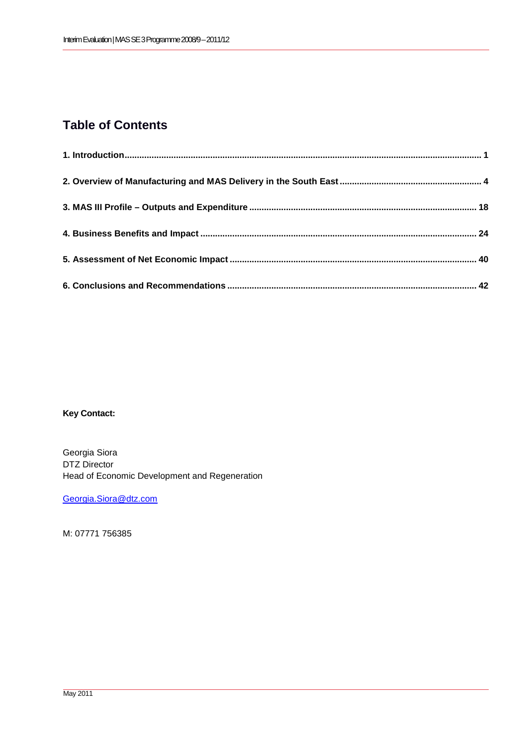## **Table of Contents**

**Key Contact:** 

Georgia Siora DTZ Director Head of Economic Development and Regeneration

Georgia.Siora@dtz.com

M: 07771 756385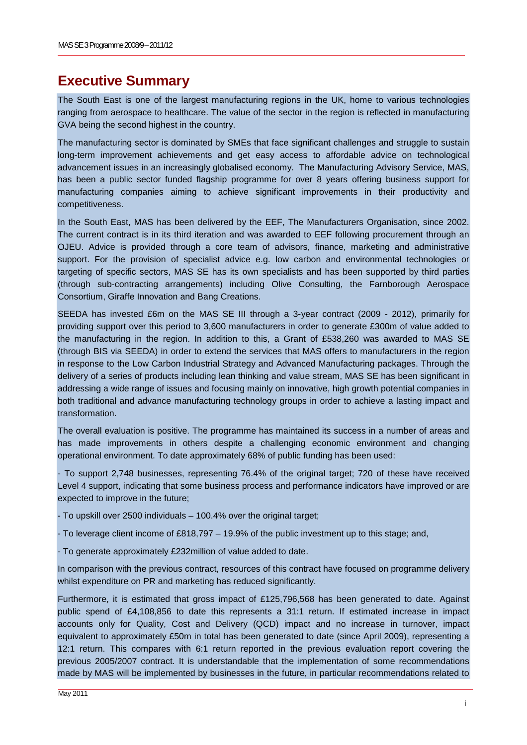## **Executive Summary**

The South East is one of the largest manufacturing regions in the UK, home to various technologies ranging from aerospace to healthcare. The value of the sector in the region is reflected in manufacturing GVA being the second highest in the country.

The manufacturing sector is dominated by SMEs that face significant challenges and struggle to sustain long-term improvement achievements and get easy access to affordable advice on technological advancement issues in an increasingly globalised economy. The Manufacturing Advisory Service, MAS, has been a public sector funded flagship programme for over 8 years offering business support for manufacturing companies aiming to achieve significant improvements in their productivity and competitiveness.

In the South East, MAS has been delivered by the EEF, The Manufacturers Organisation, since 2002. The current contract is in its third iteration and was awarded to EEF following procurement through an OJEU. Advice is provided through a core team of advisors, finance, marketing and administrative support. For the provision of specialist advice e.g. low carbon and environmental technologies or targeting of specific sectors, MAS SE has its own specialists and has been supported by third parties (through sub-contracting arrangements) including Olive Consulting, the Farnborough Aerospace Consortium, Giraffe Innovation and Bang Creations.

SEEDA has invested £6m on the MAS SE III through a 3-year contract (2009 - 2012), primarily for providing support over this period to 3,600 manufacturers in order to generate £300m of value added to the manufacturing in the region. In addition to this, a Grant of £538,260 was awarded to MAS SE (through BIS via SEEDA) in order to extend the services that MAS offers to manufacturers in the region in response to the Low Carbon Industrial Strategy and Advanced Manufacturing packages. Through the delivery of a series of products including lean thinking and value stream, MAS SE has been significant in addressing a wide range of issues and focusing mainly on innovative, high growth potential companies in both traditional and advance manufacturing technology groups in order to achieve a lasting impact and transformation.

The overall evaluation is positive. The programme has maintained its success in a number of areas and has made improvements in others despite a challenging economic environment and changing operational environment. To date approximately 68% of public funding has been used:

- To support 2,748 businesses, representing 76.4% of the original target; 720 of these have received Level 4 support, indicating that some business process and performance indicators have improved or are expected to improve in the future;

- To upskill over 2500 individuals – 100.4% over the original target;

- To leverage client income of £818,797 – 19.9% of the public investment up to this stage; and,

- To generate approximately £232million of value added to date.

In comparison with the previous contract, resources of this contract have focused on programme delivery whilst expenditure on PR and marketing has reduced significantly.

Furthermore, it is estimated that gross impact of £125,796,568 has been generated to date. Against public spend of £4,108,856 to date this represents a 31:1 return. If estimated increase in impact accounts only for Quality, Cost and Delivery (QCD) impact and no increase in turnover, impact equivalent to approximately £50m in total has been generated to date (since April 2009), representing a 12:1 return. This compares with 6:1 return reported in the previous evaluation report covering the previous 2005/2007 contract. It is understandable that the implementation of some recommendations made by MAS will be implemented by businesses in the future, in particular recommendations related to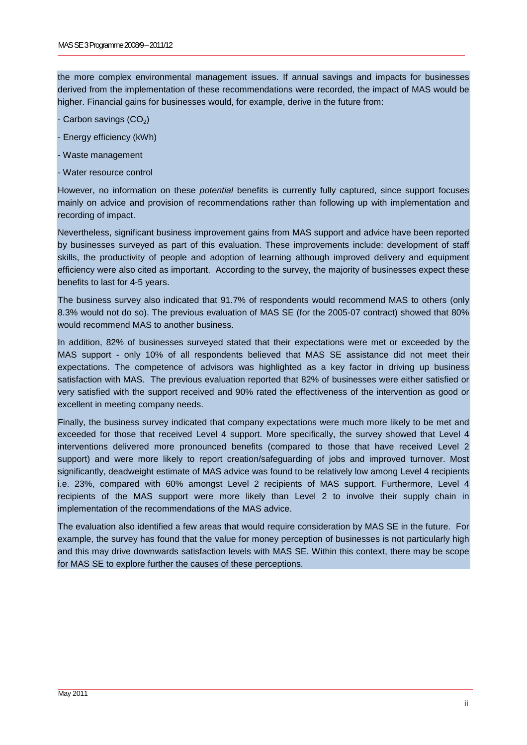the more complex environmental management issues. If annual savings and impacts for businesses derived from the implementation of these recommendations were recorded, the impact of MAS would be higher. Financial gains for businesses would, for example, derive in the future from:

- Carbon savings  $(CO<sub>2</sub>)$
- Energy efficiency (kWh)
- Waste management
- Water resource control

However, no information on these *potential* benefits is currently fully captured, since support focuses mainly on advice and provision of recommendations rather than following up with implementation and recording of impact.

Nevertheless, significant business improvement gains from MAS support and advice have been reported by businesses surveyed as part of this evaluation. These improvements include: development of staff skills, the productivity of people and adoption of learning although improved delivery and equipment efficiency were also cited as important. According to the survey, the majority of businesses expect these benefits to last for 4-5 years.

The business survey also indicated that 91.7% of respondents would recommend MAS to others (only 8.3% would not do so). The previous evaluation of MAS SE (for the 2005-07 contract) showed that 80% would recommend MAS to another business.

In addition, 82% of businesses surveyed stated that their expectations were met or exceeded by the MAS support - only 10% of all respondents believed that MAS SE assistance did not meet their expectations. The competence of advisors was highlighted as a key factor in driving up business satisfaction with MAS. The previous evaluation reported that 82% of businesses were either satisfied or very satisfied with the support received and 90% rated the effectiveness of the intervention as good or excellent in meeting company needs.

Finally, the business survey indicated that company expectations were much more likely to be met and exceeded for those that received Level 4 support. More specifically, the survey showed that Level 4 interventions delivered more pronounced benefits (compared to those that have received Level 2 support) and were more likely to report creation/safeguarding of jobs and improved turnover. Most significantly, deadweight estimate of MAS advice was found to be relatively low among Level 4 recipients i.e. 23%, compared with 60% amongst Level 2 recipients of MAS support. Furthermore, Level 4 recipients of the MAS support were more likely than Level 2 to involve their supply chain in implementation of the recommendations of the MAS advice.

The evaluation also identified a few areas that would require consideration by MAS SE in the future. For example, the survey has found that the value for money perception of businesses is not particularly high and this may drive downwards satisfaction levels with MAS SE. Within this context, there may be scope for MAS SE to explore further the causes of these perceptions.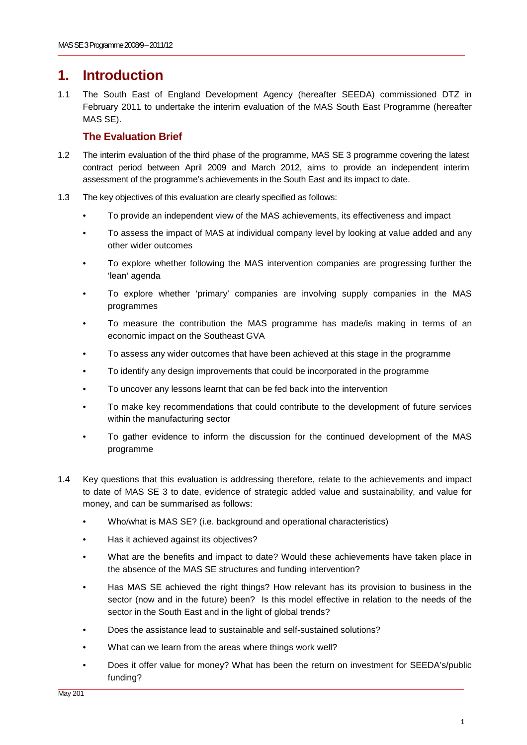## **1. Introduction**

1.1 The South East of England Development Agency (hereafter SEEDA) commissioned DTZ in February 2011 to undertake the interim evaluation of the MAS South East Programme (hereafter MAS SE).

## **The Evaluation Brief**

- 1.2 The interim evaluation of the third phase of the programme, MAS SE 3 programme covering the latest contract period between April 2009 and March 2012, aims to provide an independent interim assessment of the programme's achievements in the South East and its impact to date.
- 1.3 The key objectives of this evaluation are clearly specified as follows:
	- To provide an independent view of the MAS achievements, its effectiveness and impact
	- To assess the impact of MAS at individual company level by looking at value added and any other wider outcomes
	- To explore whether following the MAS intervention companies are progressing further the 'lean' agenda
	- To explore whether 'primary' companies are involving supply companies in the MAS programmes
	- To measure the contribution the MAS programme has made/is making in terms of an economic impact on the Southeast GVA
	- To assess any wider outcomes that have been achieved at this stage in the programme
	- To identify any design improvements that could be incorporated in the programme
	- To uncover any lessons learnt that can be fed back into the intervention
	- To make key recommendations that could contribute to the development of future services within the manufacturing sector
	- To gather evidence to inform the discussion for the continued development of the MAS programme
- 1.4 Key questions that this evaluation is addressing therefore, relate to the achievements and impact to date of MAS SE 3 to date, evidence of strategic added value and sustainability, and value for money, and can be summarised as follows:
	- Who/what is MAS SE? (i.e. background and operational characteristics)
	- Has it achieved against its objectives?
	- What are the benefits and impact to date? Would these achievements have taken place in the absence of the MAS SE structures and funding intervention?
	- Has MAS SE achieved the right things? How relevant has its provision to business in the sector (now and in the future) been? Is this model effective in relation to the needs of the sector in the South East and in the light of global trends?
	- Does the assistance lead to sustainable and self-sustained solutions?
	- What can we learn from the areas where things work well?
	- Does it offer value for money? What has been the return on investment for SEEDA's/public funding?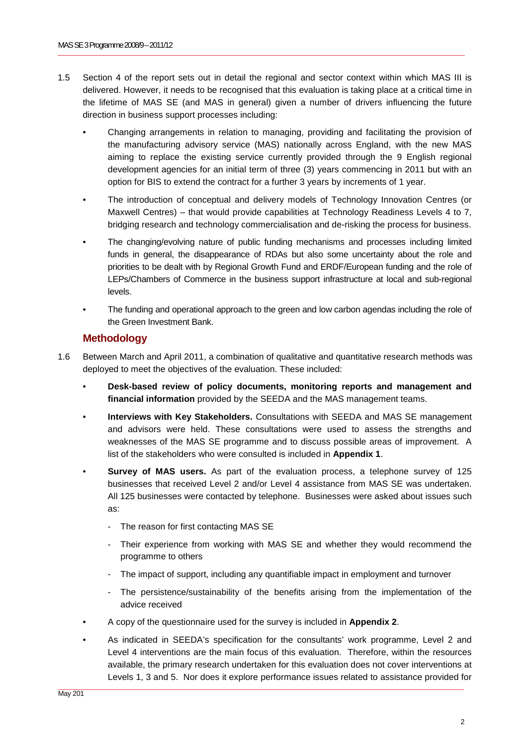- 1.5 Section 4 of the report sets out in detail the regional and sector context within which MAS III is delivered. However, it needs to be recognised that this evaluation is taking place at a critical time in the lifetime of MAS SE (and MAS in general) given a number of drivers influencing the future direction in business support processes including:
	- Changing arrangements in relation to managing, providing and facilitating the provision of the manufacturing advisory service (MAS) nationally across England, with the new MAS aiming to replace the existing service currently provided through the 9 English regional development agencies for an initial term of three (3) years commencing in 2011 but with an option for BIS to extend the contract for a further 3 years by increments of 1 year.
	- The introduction of conceptual and delivery models of Technology Innovation Centres (or Maxwell Centres) – that would provide capabilities at Technology Readiness Levels 4 to 7, bridging research and technology commercialisation and de-risking the process for business.
	- The changing/evolving nature of public funding mechanisms and processes including limited funds in general, the disappearance of RDAs but also some uncertainty about the role and priorities to be dealt with by Regional Growth Fund and ERDF/European funding and the role of LEPs/Chambers of Commerce in the business support infrastructure at local and sub-regional levels.
	- The funding and operational approach to the green and low carbon agendas including the role of the Green Investment Bank.

## **Methodology**

- 1.6 Between March and April 2011, a combination of qualitative and quantitative research methods was deployed to meet the objectives of the evaluation. These included:
	- **Desk-based review of policy documents, monitoring reports and management and financial information** provided by the SEEDA and the MAS management teams.
	- **Interviews with Key Stakeholders.** Consultations with SEEDA and MAS SE management and advisors were held. These consultations were used to assess the strengths and weaknesses of the MAS SE programme and to discuss possible areas of improvement. A list of the stakeholders who were consulted is included in **Appendix 1**.
	- **Survey of MAS users.** As part of the evaluation process, a telephone survey of 125 businesses that received Level 2 and/or Level 4 assistance from MAS SE was undertaken. All 125 businesses were contacted by telephone. Businesses were asked about issues such as:
		- The reason for first contacting MAS SE
		- Their experience from working with MAS SE and whether they would recommend the programme to others
		- The impact of support, including any quantifiable impact in employment and turnover
		- The persistence/sustainability of the benefits arising from the implementation of the advice received
	- A copy of the questionnaire used for the survey is included in **Appendix 2**.
	- As indicated in SEEDA's specification for the consultants' work programme, Level 2 and Level 4 interventions are the main focus of this evaluation. Therefore, within the resources available, the primary research undertaken for this evaluation does not cover interventions at Levels 1, 3 and 5. Nor does it explore performance issues related to assistance provided for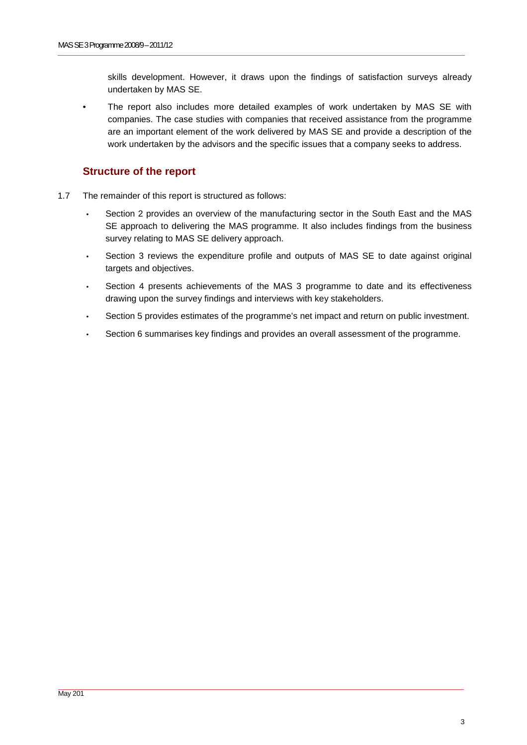skills development. However, it draws upon the findings of satisfaction surveys already undertaken by MAS SE.

The report also includes more detailed examples of work undertaken by MAS SE with companies. The case studies with companies that received assistance from the programme are an important element of the work delivered by MAS SE and provide a description of the work undertaken by the advisors and the specific issues that a company seeks to address.

## **Structure of the report**

- 1.7 The remainder of this report is structured as follows:
	- Section 2 provides an overview of the manufacturing sector in the South East and the MAS SE approach to delivering the MAS programme. It also includes findings from the business survey relating to MAS SE delivery approach.
	- Section 3 reviews the expenditure profile and outputs of MAS SE to date against original targets and objectives.
	- Section 4 presents achievements of the MAS 3 programme to date and its effectiveness drawing upon the survey findings and interviews with key stakeholders.
	- Section 5 provides estimates of the programme's net impact and return on public investment.
	- Section 6 summarises key findings and provides an overall assessment of the programme.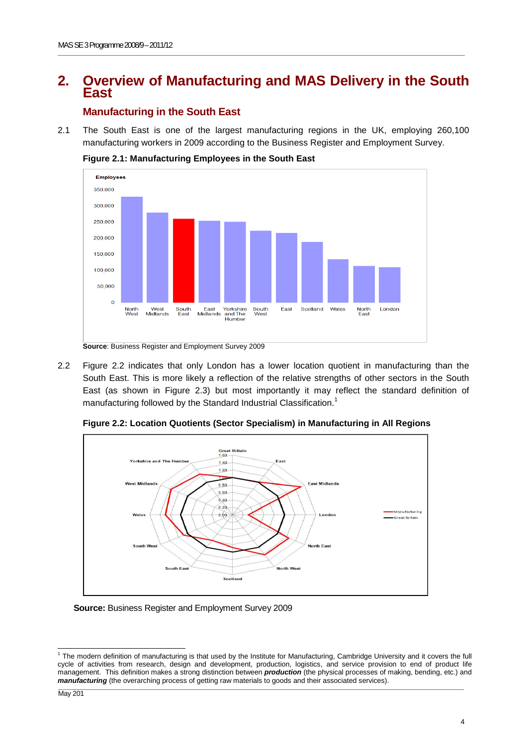## **2. Overview of Manufacturing and MAS Delivery in the South East**

## **Manufacturing in the South East**

2.1 The South East is one of the largest manufacturing regions in the UK, employing 260,100 manufacturing workers in 2009 according to the Business Register and Employment Survey.



**Figure 2.1: Manufacturing Employees in the South East** 

2.2 Figure 2.2 indicates that only London has a lower location quotient in manufacturing than the South East. This is more likely a reflection of the relative strengths of other sectors in the South East (as shown in Figure 2.3) but most importantly it may reflect the standard definition of manufacturing followed by the Standard Industrial Classification.<sup>1</sup>



 **Figure 2.2: Location Quotients (Sector Specialism) in Manufacturing in All Regions**

**Source:** Business Register and Employment Survey 2009

l <sup>1</sup> The modern definition of manufacturing is that used by the Institute for Manufacturing, Cambridge University and it covers the full cycle of activities from research, design and development, production, logistics, and service provision to end of product life management. This definition makes a strong distinction between **production** (the physical processes of making, bending, etc.) and **manufacturing** (the overarching process of getting raw materials to goods and their associated services).

May 201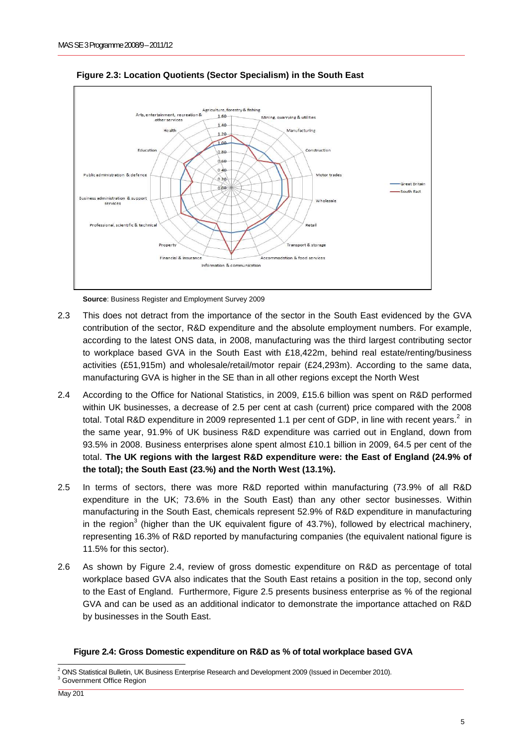

**Figure 2.3: Location Quotients (Sector Specialism) in the South East** 

**Source**: Business Register and Employment Survey 2009

- 2.3 This does not detract from the importance of the sector in the South East evidenced by the GVA contribution of the sector, R&D expenditure and the absolute employment numbers. For example, according to the latest ONS data, in 2008, manufacturing was the third largest contributing sector to workplace based GVA in the South East with £18,422m, behind real estate/renting/business activities (£51,915m) and wholesale/retail/motor repair (£24,293m). According to the same data, manufacturing GVA is higher in the SE than in all other regions except the North West
- 2.4 According to the Office for National Statistics, in 2009, £15.6 billion was spent on R&D performed within UK businesses, a decrease of 2.5 per cent at cash (current) price compared with the 2008 total. Total R&D expenditure in 2009 represented 1.1 per cent of GDP, in line with recent years.<sup>2</sup> in the same year, 91.9% of UK business R&D expenditure was carried out in England, down from 93.5% in 2008. Business enterprises alone spent almost £10.1 billion in 2009, 64.5 per cent of the total. **The UK regions with the largest R&D expenditure were: the East of England (24.9% of the total); the South East (23.%) and the North West (13.1%).**
- 2.5 In terms of sectors, there was more R&D reported within manufacturing (73.9% of all R&D expenditure in the UK; 73.6% in the South East) than any other sector businesses. Within manufacturing in the South East, chemicals represent 52.9% of R&D expenditure in manufacturing in the region<sup>3</sup> (higher than the UK equivalent figure of 43.7%), followed by electrical machinery, representing 16.3% of R&D reported by manufacturing companies (the equivalent national figure is 11.5% for this sector).
- 2.6 As shown by Figure 2.4, review of gross domestic expenditure on R&D as percentage of total workplace based GVA also indicates that the South East retains a position in the top, second only to the East of England. Furthermore, Figure 2.5 presents business enterprise as % of the regional GVA and can be used as an additional indicator to demonstrate the importance attached on R&D by businesses in the South East.

#### **Figure 2.4: Gross Domestic expenditure on R&D as % of total workplace based GVA**

 2 ONS Statistical Bulletin, UK Business Enterprise Research and Development 2009 (Issued in December 2010).

<sup>&</sup>lt;sup>3</sup> Government Office Region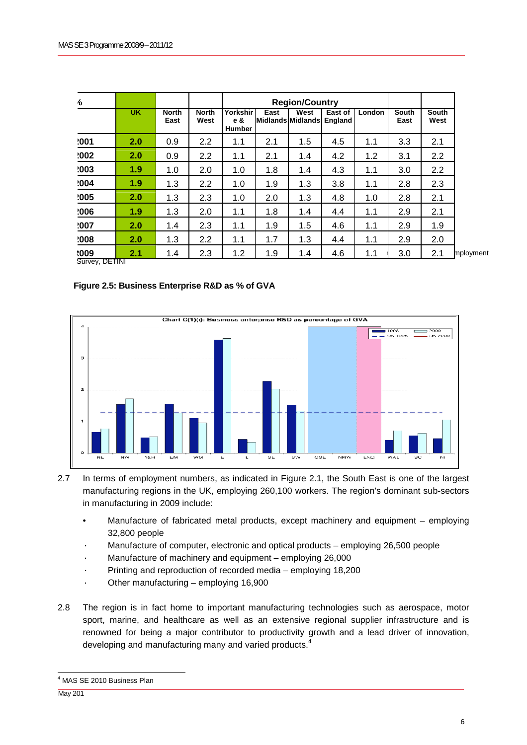| $\sqrt{2}$ |           |                      |                      | <b>Region/Country</b>             |      |                                   |         |        |               |                      |
|------------|-----------|----------------------|----------------------|-----------------------------------|------|-----------------------------------|---------|--------|---------------|----------------------|
|            | <b>UK</b> | <b>North</b><br>East | <b>North</b><br>West | Yorkshirl<br>e &<br><b>Humber</b> | East | West<br>Midlands Midlands England | East of | London | South<br>East | <b>South</b><br>West |
| :001       | 2.0       | 0.9                  | 2.2                  | 1.1                               | 2.1  | 1.5                               | 4.5     | 1.1    | 3.3           | 2.1                  |
| :002       | 2.0       | 0.9                  | 2.2                  | 1.1                               | 2.1  | 1.4                               | 4.2     | 1.2    | 3.1           | 2.2                  |
| :003       | 1.9       | 1.0                  | 2.0                  | 1.0                               | 1.8  | 1.4                               | 4.3     | 1.1    | 3.0           | 2.2                  |
| :004       | 1.9       | 1.3                  | 2.2                  | 1.0                               | 1.9  | 1.3                               | 3.8     | 1.1    | 2.8           | 2.3                  |
| .005       | 2.0       | 1.3                  | 2.3                  | 1.0                               | 2.0  | 1.3                               | 4.8     | 1.0    | 2.8           | 2.1                  |
| :006       | 1.9       | 1.3                  | 2.0                  | 1.1                               | 1.8  | 1.4                               | 4.4     | 1.1    | 2.9           | 2.1                  |
| :007       | 2.0       | 1.4                  | 2.3                  | 1.1                               | 1.9  | 1.5                               | 4.6     | 1.1    | 2.9           | 1.9                  |
| 2008       | 2.0       | 1.3                  | 2.2                  | 1.1                               | 1.7  | 1.3                               | 4.4     | 1.1    | 2.9           | 2.0                  |
| :009       | 2.1       | 1.4                  | 2.3                  | 1.2                               | 1.9  | 1.4                               | 4.6     | 1.1    | 3.0           | 2.1                  |

Survey, DETINI

#### **Figure 2.5: Business Enterprise R&D as % of GVA**



- 2.7 In terms of employment numbers, as indicated in Figure 2.1, the South East is one of the largest manufacturing regions in the UK, employing 260,100 workers. The region's dominant sub-sectors in manufacturing in 2009 include:
	- Manufacture of fabricated metal products, except machinery and equipment employing 32,800 people
	- Manufacture of computer, electronic and optical products employing 26,500 people
	- Manufacture of machinery and equipment employing 26,000
	- Printing and reproduction of recorded media employing 18,200
	- Other manufacturing employing 16,900
- 2.8 The region is in fact home to important manufacturing technologies such as aerospace, motor sport, marine, and healthcare as well as an extensive regional supplier infrastructure and is renowned for being a major contributor to productivity growth and a lead driver of innovation, developing and manufacturing many and varied products.<sup>4</sup>

 4 MAS SE 2010 Business Plan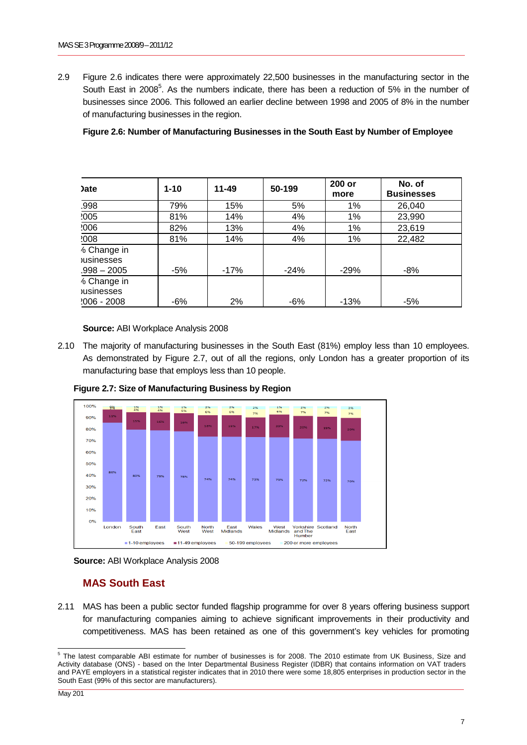2.9 Figure 2.6 indicates there were approximately 22,500 businesses in the manufacturing sector in the South East in 2008<sup>5</sup>. As the numbers indicate, there has been a reduction of 5% in the number of businesses since 2006. This followed an earlier decline between 1998 and 2005 of 8% in the number of manufacturing businesses in the region.

**Figure 2.6: Number of Manufacturing Businesses in the South East by Number of Employee** 

| <b>Date</b>                                       | $1 - 10$ | $11 - 49$ | 50-199 | 200 or<br>more | No. of<br><b>Businesses</b> |
|---------------------------------------------------|----------|-----------|--------|----------------|-----------------------------|
| 998                                               | 79%      | 15%       | 5%     | 1%             | 26,040                      |
| :005                                              | 81%      | 14%       | 4%     | 1%             | 23,990                      |
| .006                                              | 82%      | 13%       | 4%     | 1%             | 23,619                      |
| :008                                              | 81%      | 14%       | 4%     | 1%             | 22,482                      |
| 6 Change in<br><i>vusinesses</i><br>$998 - 2005$  | -5%      | $-17%$    | $-24%$ | $-29\%$        | -8%                         |
| 6 Change in<br><i>vusinesses</i><br>$2006 - 2008$ | -6%      | 2%        | $-6%$  | $-13%$         | $-5%$                       |

**Source:** ABI Workplace Analysis 2008

2.10 The majority of manufacturing businesses in the South East (81%) employ less than 10 employees. As demonstrated by Figure 2.7, out of all the regions, only London has a greater proportion of its manufacturing base that employs less than 10 people.



**Figure 2.7: Size of Manufacturing Business by Region** 

## **MAS South East**

2.11 MAS has been a public sector funded flagship programme for over 8 years offering business support for manufacturing companies aiming to achieve significant improvements in their productivity and competitiveness. MAS has been retained as one of this government's key vehicles for promoting

**Source:** ABI Workplace Analysis 2008

 5 The latest comparable ABI estimate for number of businesses is for 2008. The 2010 estimate from UK Business, Size and Activity database (ONS) - based on the Inter Departmental Business Register (IDBR) that contains information on VAT traders and PAYE employers in a statistical register indicates that in 2010 there were some 18,805 enterprises in production sector in the South East (99% of this sector are manufacturers).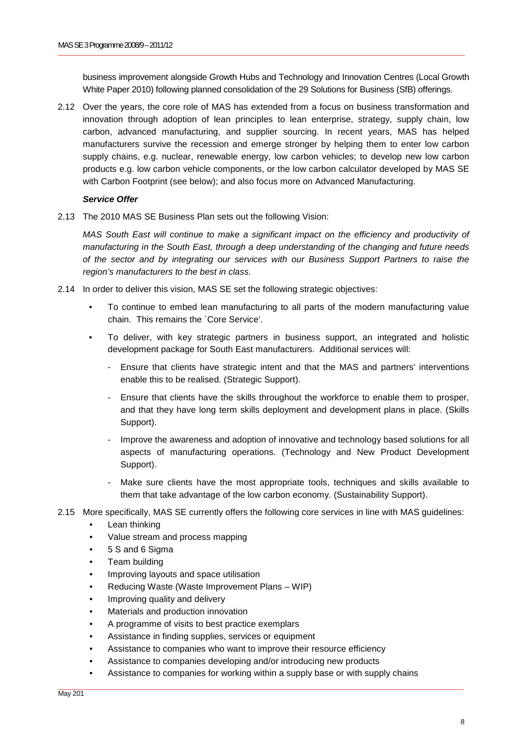business improvement alongside Growth Hubs and Technology and Innovation Centres (Local Growth White Paper 2010) following planned consolidation of the 29 Solutions for Business (SfB) offerings.

2.12 Over the years, the core role of MAS has extended from a focus on business transformation and innovation through adoption of lean principles to lean enterprise, strategy, supply chain, low carbon, advanced manufacturing, and supplier sourcing. In recent years, MAS has helped manufacturers survive the recession and emerge stronger by helping them to enter low carbon supply chains, e.g. nuclear, renewable energy, low carbon vehicles; to develop new low carbon products e.g. low carbon vehicle components, or the low carbon calculator developed by MAS SE with Carbon Footprint (see below); and also focus more on Advanced Manufacturing.

#### **Service Offer**

2.13 The 2010 MAS SE Business Plan sets out the following Vision:

MAS South East will continue to make a significant impact on the efficiency and productivity of manufacturing in the South East, through a deep understanding of the changing and future needs of the sector and by integrating our services with our Business Support Partners to raise the region's manufacturers to the best in class.

- 2.14 In order to deliver this vision, MAS SE set the following strategic objectives:
	- To continue to embed lean manufacturing to all parts of the modern manufacturing value chain. This remains the `Core Service'.
	- To deliver, with key strategic partners in business support, an integrated and holistic development package for South East manufacturers. Additional services will:
		- Ensure that clients have strategic intent and that the MAS and partners' interventions enable this to be realised. (Strategic Support).
		- Ensure that clients have the skills throughout the workforce to enable them to prosper, and that they have long term skills deployment and development plans in place. (Skills Support).
		- Improve the awareness and adoption of innovative and technology based solutions for all aspects of manufacturing operations. (Technology and New Product Development Support).
		- Make sure clients have the most appropriate tools, techniques and skills available to them that take advantage of the low carbon economy. (Sustainability Support).
- 2.15 More specifically, MAS SE currently offers the following core services in line with MAS guidelines:
	- Lean thinking
	- Value stream and process mapping
	- 5 S and 6 Sigma
	- Team building
	- Improving layouts and space utilisation
	- Reducing Waste (Waste Improvement Plans WIP)
	- Improving quality and delivery
	- Materials and production innovation
	- A programme of visits to best practice exemplars
	- Assistance in finding supplies, services or equipment
	- Assistance to companies who want to improve their resource efficiency
	- Assistance to companies developing and/or introducing new products
	- Assistance to companies for working within a supply base or with supply chains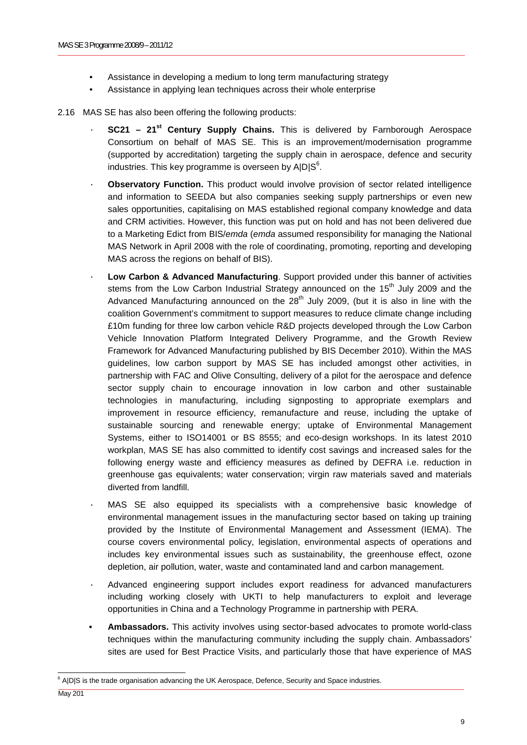- Assistance in developing a medium to long term manufacturing strategy
- Assistance in applying lean techniques across their whole enterprise
- 2.16 MAS SE has also been offering the following products:
	- **SC21 21st Century Supply Chains.** This is delivered by Farnborough Aerospace Consortium on behalf of MAS SE. This is an improvement/modernisation programme (supported by accreditation) targeting the supply chain in aerospace, defence and security industries. This key programme is overseen by A $|D|S^6$ .
	- **Observatory Function.** This product would involve provision of sector related intelligence and information to SEEDA but also companies seeking supply partnerships or even new sales opportunities, capitalising on MAS established regional company knowledge and data and CRM activities. However, this function was put on hold and has not been delivered due to a Marketing Edict from BIS/emda (emda assumed responsibility for managing the National MAS Network in April 2008 with the role of coordinating, promoting, reporting and developing MAS across the regions on behalf of BIS).
	- **Low Carbon & Advanced Manufacturing**. Support provided under this banner of activities stems from the Low Carbon Industrial Strategy announced on the 15<sup>th</sup> July 2009 and the Advanced Manufacturing announced on the  $28<sup>th</sup>$  July 2009, (but it is also in line with the coalition Government's commitment to support measures to reduce climate change including £10m funding for three low carbon vehicle R&D projects developed through the Low Carbon Vehicle Innovation Platform Integrated Delivery Programme, and the Growth Review Framework for Advanced Manufacturing published by BIS December 2010). Within the MAS guidelines, low carbon support by MAS SE has included amongst other activities, in partnership with FAC and Olive Consulting, delivery of a pilot for the aerospace and defence sector supply chain to encourage innovation in low carbon and other sustainable technologies in manufacturing, including signposting to appropriate exemplars and improvement in resource efficiency, remanufacture and reuse, including the uptake of sustainable sourcing and renewable energy; uptake of Environmental Management Systems, either to ISO14001 or BS 8555; and eco-design workshops. In its latest 2010 workplan, MAS SE has also committed to identify cost savings and increased sales for the following energy waste and efficiency measures as defined by DEFRA i.e. reduction in greenhouse gas equivalents; water conservation; virgin raw materials saved and materials diverted from landfill.
	- MAS SE also equipped its specialists with a comprehensive basic knowledge of environmental management issues in the manufacturing sector based on taking up training provided by the Institute of Environmental Management and Assessment (IEMA). The course covers environmental policy, legislation, environmental aspects of operations and includes key environmental issues such as sustainability, the greenhouse effect, ozone depletion, air pollution, water, waste and contaminated land and carbon management.
	- Advanced engineering support includes export readiness for advanced manufacturers including working closely with UKTI to help manufacturers to exploit and leverage opportunities in China and a Technology Programme in partnership with PERA.
	- **• Ambassadors.** This activity involves using sector-based advocates to promote world-class techniques within the manufacturing community including the supply chain. Ambassadors' sites are used for Best Practice Visits, and particularly those that have experience of MAS

<sup>&</sup>lt;sup>6</sup> A|D|S is the trade organisation advancing the UK Aerospace, Defence, Security and Space industries.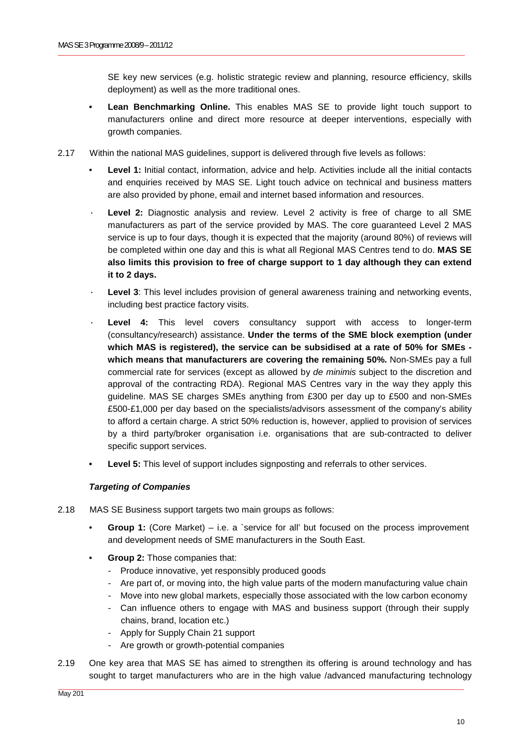SE key new services (e.g. holistic strategic review and planning, resource efficiency, skills deployment) as well as the more traditional ones.

- **• Lean Benchmarking Online.** This enables MAS SE to provide light touch support to manufacturers online and direct more resource at deeper interventions, especially with growth companies.
- 2.17 Within the national MAS guidelines, support is delivered through five levels as follows:
	- **Level 1:** Initial contact, information, advice and help. Activities include all the initial contacts and enquiries received by MAS SE. Light touch advice on technical and business matters are also provided by phone, email and internet based information and resources.
	- **Level 2:** Diagnostic analysis and review. Level 2 activity is free of charge to all SME manufacturers as part of the service provided by MAS. The core guaranteed Level 2 MAS service is up to four days, though it is expected that the majority (around 80%) of reviews will be completed within one day and this is what all Regional MAS Centres tend to do. **MAS SE also limits this provision to free of charge support to 1 day although they can extend it to 2 days.**
	- **Level 3:** This level includes provision of general awareness training and networking events, including best practice factory visits.
	- **Level 4:** This level covers consultancy support with access to longer-term (consultancy/research) assistance. **Under the terms of the SME block exemption (under which MAS is registered), the service can be subsidised at a rate of 50% for SMEs which means that manufacturers are covering the remaining 50%.** Non-SMEs pay a full commercial rate for services (except as allowed by de minimis subject to the discretion and approval of the contracting RDA). Regional MAS Centres vary in the way they apply this guideline. MAS SE charges SMEs anything from £300 per day up to £500 and non-SMEs £500-£1,000 per day based on the specialists/advisors assessment of the company's ability to afford a certain charge. A strict 50% reduction is, however, applied to provision of services by a third party/broker organisation i.e. organisations that are sub-contracted to deliver specific support services.
	- **• Level 5:** This level of support includes signposting and referrals to other services.

#### **Targeting of Companies**

- 2.18 MAS SE Business support targets two main groups as follows:
	- **Group 1:** (Core Market) i.e. a `service for all' but focused on the process improvement and development needs of SME manufacturers in the South East.
	- **Group 2:** Those companies that:
		- Produce innovative, yet responsibly produced goods
		- Are part of, or moving into, the high value parts of the modern manufacturing value chain
		- Move into new global markets, especially those associated with the low carbon economy
		- Can influence others to engage with MAS and business support (through their supply chains, brand, location etc.)
		- Apply for Supply Chain 21 support
		- Are growth or growth-potential companies
- 2.19 One key area that MAS SE has aimed to strengthen its offering is around technology and has sought to target manufacturers who are in the high value /advanced manufacturing technology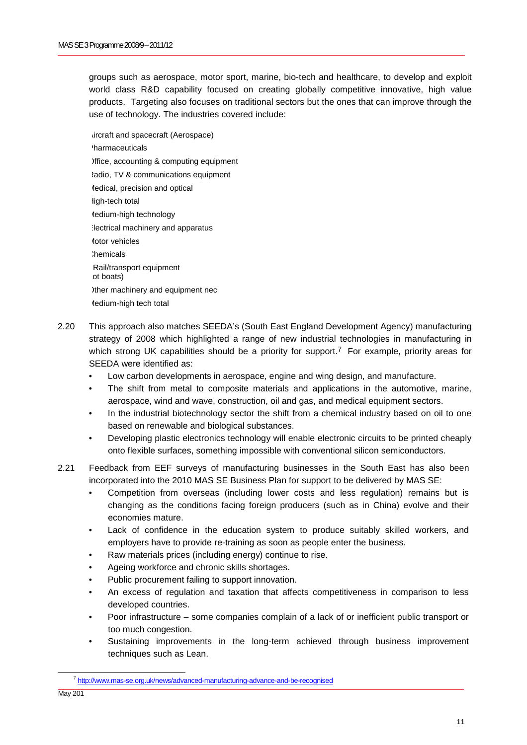groups such as aerospace, motor sport, marine, bio-tech and healthcare, to develop and exploit world class R&D capability focused on creating globally competitive innovative, high value products. Targeting also focuses on traditional sectors but the ones that can improve through the use of technology. The industries covered include:

Aircraft and spacecraft (Aerospace) Pharmaceuticals Office, accounting & computing equipment ladio, TV & communications equipment Medical, precision and optical ligh-tech total Medium-high technology Electrical machinery and apparatus Motor vehicles :hemicals Rail/transport equipment not boats) Other machinery and equipment nec Medium-high tech total

- 2.20 This approach also matches SEEDA's (South East England Development Agency) manufacturing strategy of 2008 which highlighted a range of new industrial technologies in manufacturing in which strong UK capabilities should be a priority for support.<sup>7</sup> For example, priority areas for SEEDA were identified as:
	- Low carbon developments in aerospace, engine and wing design, and manufacture.
	- The shift from metal to composite materials and applications in the automotive, marine, aerospace, wind and wave, construction, oil and gas, and medical equipment sectors.
	- In the industrial biotechnology sector the shift from a chemical industry based on oil to one based on renewable and biological substances.
	- Developing plastic electronics technology will enable electronic circuits to be printed cheaply onto flexible surfaces, something impossible with conventional silicon semiconductors.
- 2.21 Feedback from EEF surveys of manufacturing businesses in the South East has also been incorporated into the 2010 MAS SE Business Plan for support to be delivered by MAS SE:
	- Competition from overseas (including lower costs and less regulation) remains but is changing as the conditions facing foreign producers (such as in China) evolve and their economies mature.
	- Lack of confidence in the education system to produce suitably skilled workers, and employers have to provide re-training as soon as people enter the business.
	- Raw materials prices (including energy) continue to rise.
	- Ageing workforce and chronic skills shortages.
	- Public procurement failing to support innovation.
	- An excess of regulation and taxation that affects competitiveness in comparison to less developed countries.
	- Poor infrastructure some companies complain of a lack of or inefficient public transport or too much congestion.
	- Sustaining improvements in the long-term achieved through business improvement techniques such as Lean.

 $\overline{a}$ 

<sup>&</sup>lt;sup>7</sup> http://www.mas-se.org.uk/news/advanced-manufacturing-advance-and-be-recognised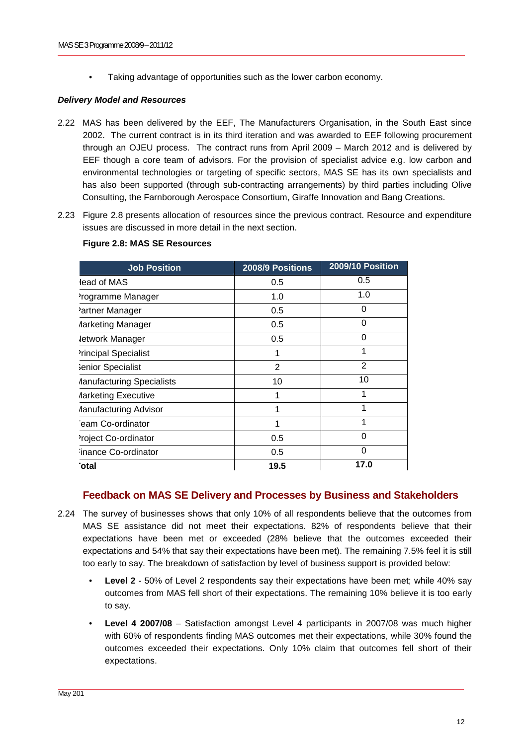Taking advantage of opportunities such as the lower carbon economy.

#### **Delivery Model and Resources**

- 2.22 MAS has been delivered by the EEF, The Manufacturers Organisation, in the South East since 2002. The current contract is in its third iteration and was awarded to EEF following procurement through an OJEU process. The contract runs from April 2009 – March 2012 and is delivered by EEF though a core team of advisors. For the provision of specialist advice e.g. low carbon and environmental technologies or targeting of specific sectors, MAS SE has its own specialists and has also been supported (through sub-contracting arrangements) by third parties including Olive Consulting, the Farnborough Aerospace Consortium, Giraffe Innovation and Bang Creations.
- 2.23 Figure 2.8 presents allocation of resources since the previous contract. Resource and expenditure issues are discussed in more detail in the next section.

| <b>Job Position</b>               | 2008/9 Positions | 2009/10 Position |
|-----------------------------------|------------------|------------------|
| lead of MAS                       | 0.5              | 0.5              |
| 'rogramme Manager                 | 1.0              | 1.0              |
| 'artner Manager                   | 0.5              | 0                |
| <i>Aarketing Manager</i>          | 0.5              | 0                |
| letwork Manager                   | 0.5              | 0                |
| 'rincipal Specialist              | 1                | 1                |
| <b>Senior Specialist</b>          | 2                | $\overline{2}$   |
| <b>Manufacturing Specialists</b>  | 10               | 10               |
| <b><i>Aarketing Executive</i></b> | 1                |                  |
| <b>Manufacturing Advisor</b>      | 1                | 1                |
| eam Co-ordinator                  | 1                |                  |
| 'roject Co-ordinator              | 0.5              | O                |
| inance Co-ordinator               | 0.5              | 0                |
| 'otal                             | 19.5             | 17.0             |

#### **Figure 2.8: MAS SE Resources**

## **Feedback on MAS SE Delivery and Processes by Business and Stakeholders**

- 2.24 The survey of businesses shows that only 10% of all respondents believe that the outcomes from MAS SE assistance did not meet their expectations. 82% of respondents believe that their expectations have been met or exceeded (28% believe that the outcomes exceeded their expectations and 54% that say their expectations have been met). The remaining 7.5% feel it is still too early to say. The breakdown of satisfaction by level of business support is provided below:
	- **Level 2** 50% of Level 2 respondents say their expectations have been met; while 40% say outcomes from MAS fell short of their expectations. The remaining 10% believe it is too early to say.
	- **Level 4 2007/08** Satisfaction amongst Level 4 participants in 2007/08 was much higher with 60% of respondents finding MAS outcomes met their expectations, while 30% found the outcomes exceeded their expectations. Only 10% claim that outcomes fell short of their expectations.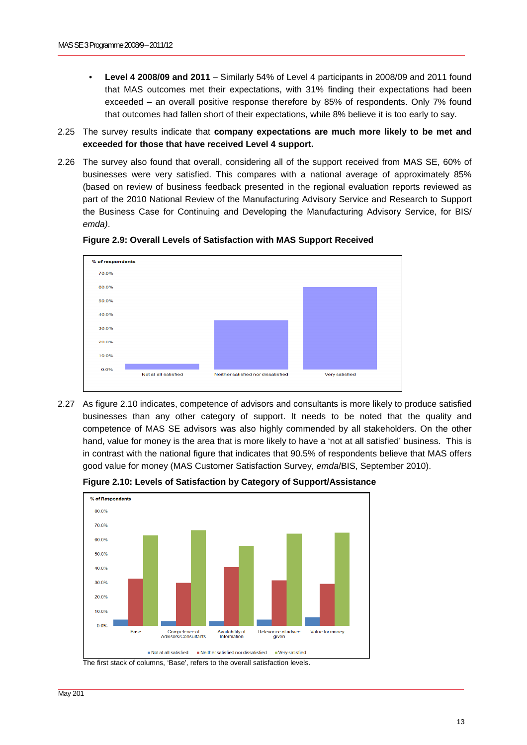- **Level 4 2008/09 and 2011** Similarly 54% of Level 4 participants in 2008/09 and 2011 found that MAS outcomes met their expectations, with 31% finding their expectations had been exceeded – an overall positive response therefore by 85% of respondents. Only 7% found that outcomes had fallen short of their expectations, while 8% believe it is too early to say.
- 2.25 The survey results indicate that **company expectations are much more likely to be met and exceeded for those that have received Level 4 support.**
- 2.26 The survey also found that overall, considering all of the support received from MAS SE, 60% of businesses were very satisfied. This compares with a national average of approximately 85% (based on review of business feedback presented in the regional evaluation reports reviewed as part of the 2010 National Review of the Manufacturing Advisory Service and Research to Support the Business Case for Continuing and Developing the Manufacturing Advisory Service, for BIS/ emda).



#### **Figure 2.9: Overall Levels of Satisfaction with MAS Support Received**

2.27 As figure 2.10 indicates, competence of advisors and consultants is more likely to produce satisfied businesses than any other category of support. It needs to be noted that the quality and competence of MAS SE advisors was also highly commended by all stakeholders. On the other hand, value for money is the area that is more likely to have a 'not at all satisfied' business. This is in contrast with the national figure that indicates that 90.5% of respondents believe that MAS offers good value for money (MAS Customer Satisfaction Survey, emda/BIS, September 2010).



**Figure 2.10: Levels of Satisfaction by Category of Support/Assistance** 

The first stack of columns, 'Base', refers to the overall satisfaction levels.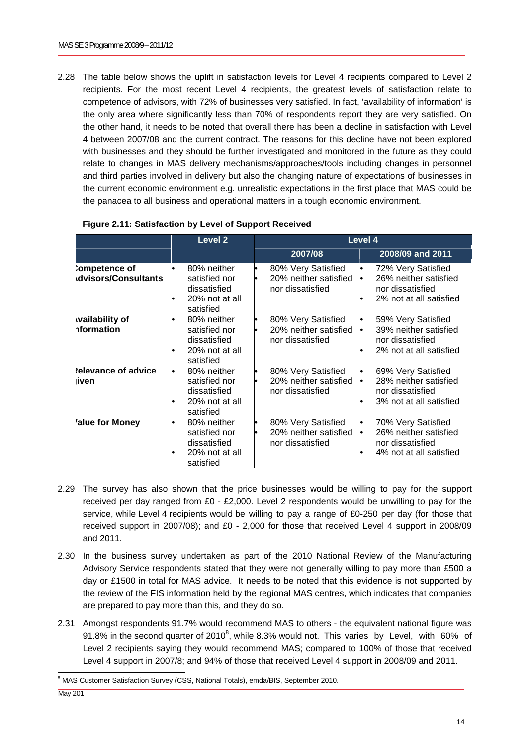2.28 The table below shows the uplift in satisfaction levels for Level 4 recipients compared to Level 2 recipients. For the most recent Level 4 recipients, the greatest levels of satisfaction relate to competence of advisors, with 72% of businesses very satisfied. In fact, 'availability of information' is the only area where significantly less than 70% of respondents report they are very satisfied. On the other hand, it needs to be noted that overall there has been a decline in satisfaction with Level 4 between 2007/08 and the current contract. The reasons for this decline have not been explored with businesses and they should be further investigated and monitored in the future as they could relate to changes in MAS delivery mechanisms/approaches/tools including changes in personnel and third parties involved in delivery but also the changing nature of expectations of businesses in the current economic environment e.g. unrealistic expectations in the first place that MAS could be the panacea to all business and operational matters in a tough economic environment.

|                                                     | <b>Level 2</b>                                                              | Level 4                                                         |                                                                                            |  |  |
|-----------------------------------------------------|-----------------------------------------------------------------------------|-----------------------------------------------------------------|--------------------------------------------------------------------------------------------|--|--|
|                                                     |                                                                             | 2007/08                                                         | 2008/09 and 2011                                                                           |  |  |
| <b>∶ompetence of</b><br><b>Idvisors/Consultants</b> | 80% neither<br>satisfied nor<br>dissatisfied<br>20% not at all<br>satisfied | 80% Very Satisfied<br>20% neither satisfied<br>nor dissatisfied | 72% Very Satisfied<br>26% neither satisfied<br>nor dissatisfied<br>2% not at all satisfied |  |  |
| wailability of<br>nformation                        | 80% neither<br>satisfied nor<br>dissatisfied<br>20% not at all<br>satisfied | 80% Very Satisfied<br>20% neither satisfied<br>nor dissatisfied | 59% Very Satisfied<br>39% neither satisfied<br>nor dissatisfied<br>2% not at all satisfied |  |  |
| <b>Relevance of advice</b><br>∣iven                 | 80% neither<br>satisfied nor<br>dissatisfied<br>20% not at all<br>satisfied | 80% Very Satisfied<br>20% neither satisfied<br>nor dissatisfied | 69% Very Satisfied<br>28% neither satisfied<br>nor dissatisfied<br>3% not at all satisfied |  |  |
| 'alue for Money                                     | 80% neither<br>satisfied nor<br>dissatisfied<br>20% not at all<br>satisfied | 80% Very Satisfied<br>20% neither satisfied<br>nor dissatisfied | 70% Very Satisfied<br>26% neither satisfied<br>nor dissatisfied<br>4% not at all satisfied |  |  |

#### **Figure 2.11: Satisfaction by Level of Support Received**

- 2.29 The survey has also shown that the price businesses would be willing to pay for the support received per day ranged from £0 - £2,000. Level 2 respondents would be unwilling to pay for the service, while Level 4 recipients would be willing to pay a range of £0-250 per day (for those that received support in 2007/08); and £0 - 2,000 for those that received Level 4 support in 2008/09 and 2011.
- 2.30 In the business survey undertaken as part of the 2010 National Review of the Manufacturing Advisory Service respondents stated that they were not generally willing to pay more than £500 a day or £1500 in total for MAS advice. It needs to be noted that this evidence is not supported by the review of the FIS information held by the regional MAS centres, which indicates that companies are prepared to pay more than this, and they do so.
- 2.31 Amongst respondents 91.7% would recommend MAS to others the equivalent national figure was 91.8% in the second quarter of 2010<sup>8</sup>, while 8.3% would not. This varies by Level, with 60% of Level 2 recipients saying they would recommend MAS; compared to 100% of those that received Level 4 support in 2007/8; and 94% of those that received Level 4 support in 2008/09 and 2011.

 8 MAS Customer Satisfaction Survey (CSS, National Totals), emda/BIS, September 2010.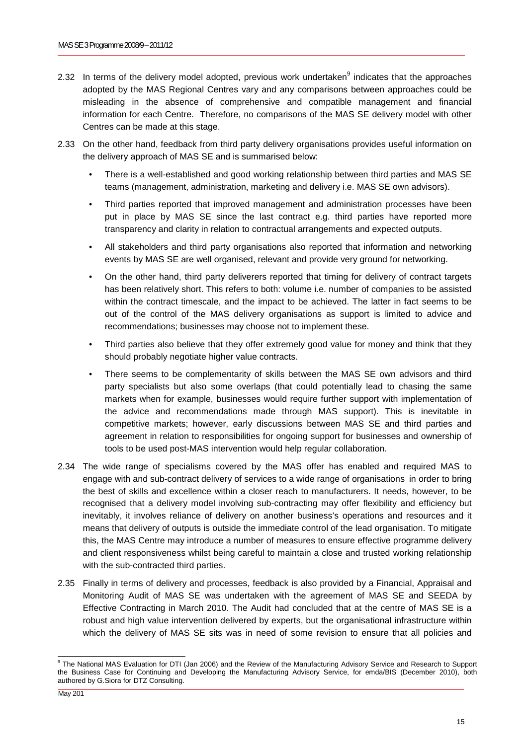- 2.32 In terms of the delivery model adopted, previous work undertaken<sup>9</sup> indicates that the approaches adopted by the MAS Regional Centres vary and any comparisons between approaches could be misleading in the absence of comprehensive and compatible management and financial information for each Centre. Therefore, no comparisons of the MAS SE delivery model with other Centres can be made at this stage.
- 2.33 On the other hand, feedback from third party delivery organisations provides useful information on the delivery approach of MAS SE and is summarised below:
	- There is a well-established and good working relationship between third parties and MAS SE teams (management, administration, marketing and delivery i.e. MAS SE own advisors).
	- Third parties reported that improved management and administration processes have been put in place by MAS SE since the last contract e.g. third parties have reported more transparency and clarity in relation to contractual arrangements and expected outputs.
	- All stakeholders and third party organisations also reported that information and networking events by MAS SE are well organised, relevant and provide very ground for networking.
	- On the other hand, third party deliverers reported that timing for delivery of contract targets has been relatively short. This refers to both: volume i.e. number of companies to be assisted within the contract timescale, and the impact to be achieved. The latter in fact seems to be out of the control of the MAS delivery organisations as support is limited to advice and recommendations; businesses may choose not to implement these.
	- Third parties also believe that they offer extremely good value for money and think that they should probably negotiate higher value contracts.
	- There seems to be complementarity of skills between the MAS SE own advisors and third party specialists but also some overlaps (that could potentially lead to chasing the same markets when for example, businesses would require further support with implementation of the advice and recommendations made through MAS support). This is inevitable in competitive markets; however, early discussions between MAS SE and third parties and agreement in relation to responsibilities for ongoing support for businesses and ownership of tools to be used post-MAS intervention would help regular collaboration.
- 2.34 The wide range of specialisms covered by the MAS offer has enabled and required MAS to engage with and sub-contract delivery of services to a wide range of organisations in order to bring the best of skills and excellence within a closer reach to manufacturers. It needs, however, to be recognised that a delivery model involving sub-contracting may offer flexibility and efficiency but inevitably, it involves reliance of delivery on another business's operations and resources and it means that delivery of outputs is outside the immediate control of the lead organisation. To mitigate this, the MAS Centre may introduce a number of measures to ensure effective programme delivery and client responsiveness whilst being careful to maintain a close and trusted working relationship with the sub-contracted third parties.
- 2.35 Finally in terms of delivery and processes, feedback is also provided by a Financial, Appraisal and Monitoring Audit of MAS SE was undertaken with the agreement of MAS SE and SEEDA by Effective Contracting in March 2010. The Audit had concluded that at the centre of MAS SE is a robust and high value intervention delivered by experts, but the organisational infrastructure within which the delivery of MAS SE sits was in need of some revision to ensure that all policies and

 9 The National MAS Evaluation for DTI (Jan 2006) and the Review of the Manufacturing Advisory Service and Research to Support the Business Case for Continuing and Developing the Manufacturing Advisory Service, for emda/BIS (December 2010), both authored by G.Siora for DTZ Consulting.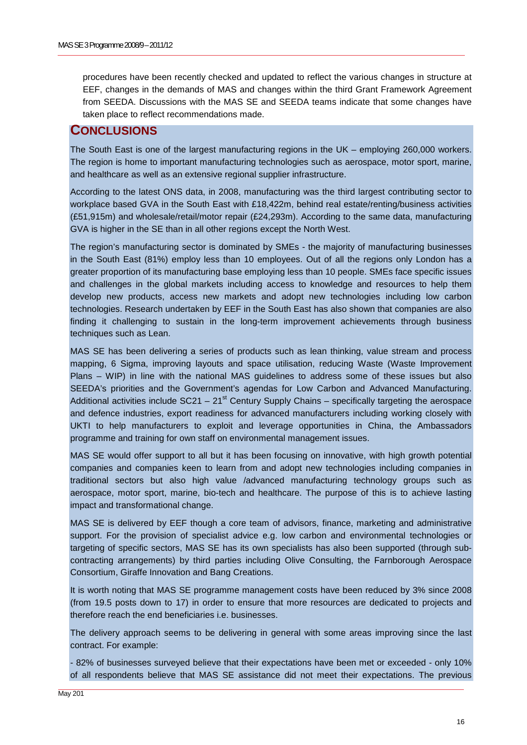procedures have been recently checked and updated to reflect the various changes in structure at EEF, changes in the demands of MAS and changes within the third Grant Framework Agreement from SEEDA. Discussions with the MAS SE and SEEDA teams indicate that some changes have taken place to reflect recommendations made.

## **CONCLUSIONS**

The South East is one of the largest manufacturing regions in the UK – employing 260,000 workers. The region is home to important manufacturing technologies such as aerospace, motor sport, marine, and healthcare as well as an extensive regional supplier infrastructure.

According to the latest ONS data, in 2008, manufacturing was the third largest contributing sector to workplace based GVA in the South East with £18,422m, behind real estate/renting/business activities (£51,915m) and wholesale/retail/motor repair (£24,293m). According to the same data, manufacturing GVA is higher in the SE than in all other regions except the North West.

The region's manufacturing sector is dominated by SMEs - the majority of manufacturing businesses in the South East (81%) employ less than 10 employees. Out of all the regions only London has a greater proportion of its manufacturing base employing less than 10 people. SMEs face specific issues and challenges in the global markets including access to knowledge and resources to help them develop new products, access new markets and adopt new technologies including low carbon technologies. Research undertaken by EEF in the South East has also shown that companies are also finding it challenging to sustain in the long-term improvement achievements through business techniques such as Lean.

MAS SE has been delivering a series of products such as lean thinking, value stream and process mapping, 6 Sigma, improving layouts and space utilisation, reducing Waste (Waste Improvement Plans – WIP) in line with the national MAS guidelines to address some of these issues but also SEEDA's priorities and the Government's agendas for Low Carbon and Advanced Manufacturing. Additional activities include  $SC21 - 21<sup>st</sup>$  Century Supply Chains – specifically targeting the aerospace and defence industries, export readiness for advanced manufacturers including working closely with UKTI to help manufacturers to exploit and leverage opportunities in China, the Ambassadors programme and training for own staff on environmental management issues.

MAS SE would offer support to all but it has been focusing on innovative, with high growth potential companies and companies keen to learn from and adopt new technologies including companies in traditional sectors but also high value /advanced manufacturing technology groups such as aerospace, motor sport, marine, bio-tech and healthcare. The purpose of this is to achieve lasting impact and transformational change.

MAS SE is delivered by EEF though a core team of advisors, finance, marketing and administrative support. For the provision of specialist advice e.g. low carbon and environmental technologies or targeting of specific sectors, MAS SE has its own specialists has also been supported (through subcontracting arrangements) by third parties including Olive Consulting, the Farnborough Aerospace Consortium, Giraffe Innovation and Bang Creations.

It is worth noting that MAS SE programme management costs have been reduced by 3% since 2008 (from 19.5 posts down to 17) in order to ensure that more resources are dedicated to projects and therefore reach the end beneficiaries i.e. businesses.

The delivery approach seems to be delivering in general with some areas improving since the last contract. For example:

- 82% of businesses surveyed believe that their expectations have been met or exceeded - only 10% of all respondents believe that MAS SE assistance did not meet their expectations. The previous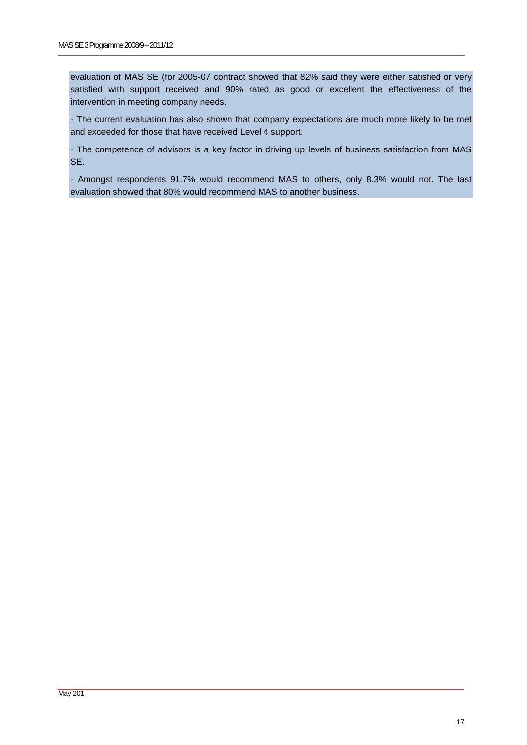evaluation of MAS SE (for 2005-07 contract showed that 82% said they were either satisfied or very satisfied with support received and 90% rated as good or excellent the effectiveness of the intervention in meeting company needs.

- The current evaluation has also shown that company expectations are much more likely to be met and exceeded for those that have received Level 4 support.

- The competence of advisors is a key factor in driving up levels of business satisfaction from MAS SE.

- Amongst respondents 91.7% would recommend MAS to others, only 8.3% would not. The last evaluation showed that 80% would recommend MAS to another business.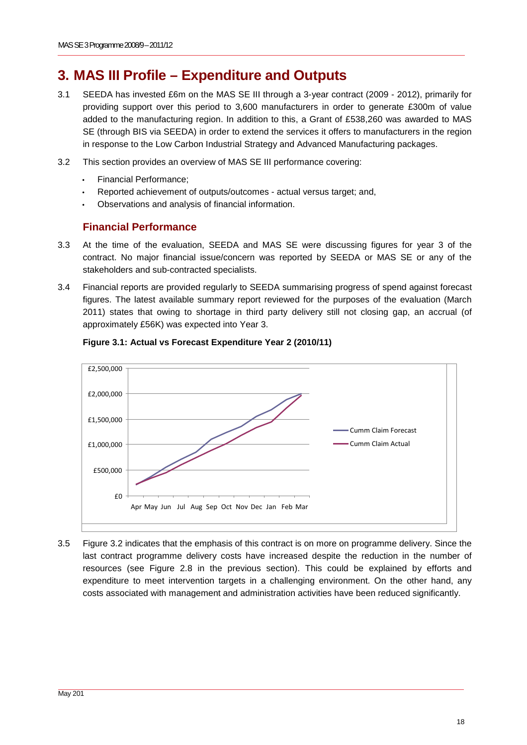## **3. MAS III Profile – Expenditure and Outputs**

- 3.1 SEEDA has invested £6m on the MAS SE III through a 3-year contract (2009 2012), primarily for providing support over this period to 3,600 manufacturers in order to generate £300m of value added to the manufacturing region. In addition to this, a Grant of £538,260 was awarded to MAS SE (through BIS via SEEDA) in order to extend the services it offers to manufacturers in the region in response to the Low Carbon Industrial Strategy and Advanced Manufacturing packages.
- 3.2 This section provides an overview of MAS SE III performance covering:
	- Financial Performance;
	- Reported achievement of outputs/outcomes actual versus target; and,
	- Observations and analysis of financial information.

## **Financial Performance**

- 3.3 At the time of the evaluation, SEEDA and MAS SE were discussing figures for year 3 of the contract. No major financial issue/concern was reported by SEEDA or MAS SE or any of the stakeholders and sub-contracted specialists.
- 3.4 Financial reports are provided regularly to SEEDA summarising progress of spend against forecast figures. The latest available summary report reviewed for the purposes of the evaluation (March 2011) states that owing to shortage in third party delivery still not closing gap, an accrual (of approximately £56K) was expected into Year 3.



#### **Figure 3.1: Actual vs Forecast Expenditure Year 2 (2010/11)**

3.5 Figure 3.2 indicates that the emphasis of this contract is on more on programme delivery. Since the last contract programme delivery costs have increased despite the reduction in the number of resources (see Figure 2.8 in the previous section). This could be explained by efforts and expenditure to meet intervention targets in a challenging environment. On the other hand, any costs associated with management and administration activities have been reduced significantly.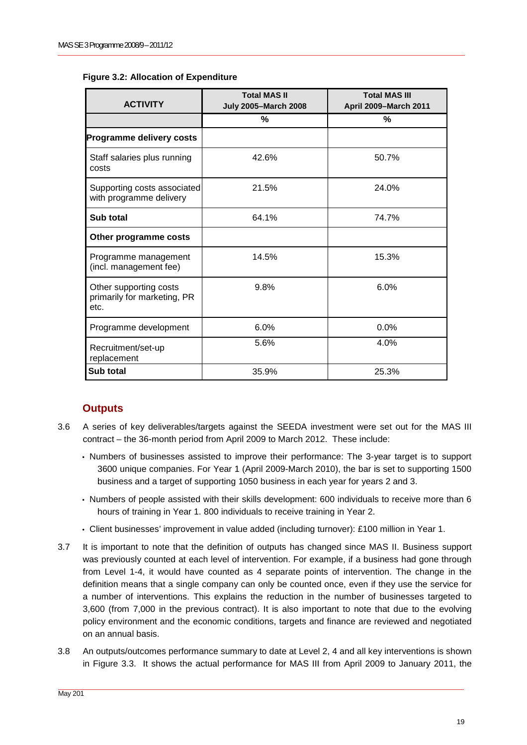| <b>ACTIVITY</b>                                               | <b>Total MAS II</b><br><b>July 2005-March 2008</b> | <b>Total MAS III</b><br><b>April 2009-March 2011</b> |  |
|---------------------------------------------------------------|----------------------------------------------------|------------------------------------------------------|--|
|                                                               | %                                                  | %                                                    |  |
| Programme delivery costs                                      |                                                    |                                                      |  |
| Staff salaries plus running<br>costs                          | 42.6%                                              | 50.7%                                                |  |
| Supporting costs associated<br>with programme delivery        | 21.5%                                              | 24.0%                                                |  |
| Sub total                                                     | 64.1%                                              | 74.7%                                                |  |
| Other programme costs                                         |                                                    |                                                      |  |
| Programme management<br>(incl. management fee)                | 14.5%                                              | 15.3%                                                |  |
| Other supporting costs<br>primarily for marketing, PR<br>etc. | 9.8%                                               | 6.0%                                                 |  |
| Programme development                                         | 6.0%                                               | 0.0%                                                 |  |
| Recruitment/set-up<br>replacement                             | 5.6%                                               | 4.0%                                                 |  |
| Sub total                                                     | 35.9%                                              | 25.3%                                                |  |

#### **Figure 3.2: Allocation of Expenditure**

## **Outputs**

- 3.6 A series of key deliverables/targets against the SEEDA investment were set out for the MAS III contract – the 36-month period from April 2009 to March 2012. These include:
	- Numbers of businesses assisted to improve their performance: The 3-year target is to support 3600 unique companies. For Year 1 (April 2009-March 2010), the bar is set to supporting 1500 business and a target of supporting 1050 business in each year for years 2 and 3.
	- Numbers of people assisted with their skills development: 600 individuals to receive more than 6 hours of training in Year 1. 800 individuals to receive training in Year 2.
	- Client businesses' improvement in value added (including turnover): £100 million in Year 1.
- 3.7 It is important to note that the definition of outputs has changed since MAS II. Business support was previously counted at each level of intervention. For example, if a business had gone through from Level 1-4, it would have counted as 4 separate points of intervention. The change in the definition means that a single company can only be counted once, even if they use the service for a number of interventions. This explains the reduction in the number of businesses targeted to 3,600 (from 7,000 in the previous contract). It is also important to note that due to the evolving policy environment and the economic conditions, targets and finance are reviewed and negotiated on an annual basis.
- 3.8 An outputs/outcomes performance summary to date at Level 2, 4 and all key interventions is shown in Figure 3.3. It shows the actual performance for MAS III from April 2009 to January 2011, the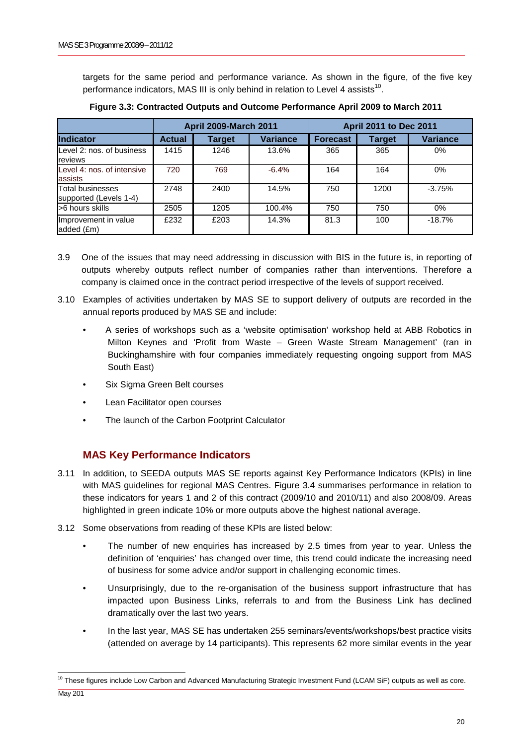targets for the same period and performance variance. As shown in the figure, of the five key performance indicators, MAS III is only behind in relation to Level 4 assists<sup>10</sup>.

|                                                   | <b>April 2009-March 2011</b> |               |                 | <b>April 2011 to Dec 2011</b> |               |                 |
|---------------------------------------------------|------------------------------|---------------|-----------------|-------------------------------|---------------|-----------------|
| <b>Indicator</b>                                  | <b>Actual</b>                | <b>Target</b> | <b>Variance</b> | <b>Forecast</b>               | <b>Target</b> | <b>Variance</b> |
| Level 2: nos. of business<br>reviews              | 1415                         | 1246          | 13.6%           | 365                           | 365           | 0%              |
| Level 4: nos. of intensive<br>assists             | 720                          | 769           | $-6.4\%$        | 164                           | 164           | $0\%$           |
| <b>Total businesses</b><br>supported (Levels 1-4) | 2748                         | 2400          | 14.5%           | 750                           | 1200          | $-3.75%$        |
| >6 hours skills                                   | 2505                         | 1205          | 100.4%          | 750                           | 750           | 0%              |
| Improvement in value<br>added (£m)                | £232                         | £203          | 14.3%           | 81.3                          | 100           | $-18.7%$        |

**Figure 3.3: Contracted Outputs and Outcome Performance April 2009 to March 2011** 

- 3.9 One of the issues that may need addressing in discussion with BIS in the future is, in reporting of outputs whereby outputs reflect number of companies rather than interventions. Therefore a company is claimed once in the contract period irrespective of the levels of support received.
- 3.10 Examples of activities undertaken by MAS SE to support delivery of outputs are recorded in the annual reports produced by MAS SE and include:
	- A series of workshops such as a 'website optimisation' workshop held at ABB Robotics in Milton Keynes and 'Profit from Waste – Green Waste Stream Management' (ran in Buckinghamshire with four companies immediately requesting ongoing support from MAS South East)
	- Six Sigma Green Belt courses
	- Lean Facilitator open courses
	- The launch of the Carbon Footprint Calculator

## **MAS Key Performance Indicators**

- 3.11 In addition, to SEEDA outputs MAS SE reports against Key Performance Indicators (KPIs) in line with MAS guidelines for regional MAS Centres. Figure 3.4 summarises performance in relation to these indicators for years 1 and 2 of this contract (2009/10 and 2010/11) and also 2008/09. Areas highlighted in green indicate 10% or more outputs above the highest national average.
- 3.12 Some observations from reading of these KPIs are listed below:
	- The number of new enquiries has increased by 2.5 times from year to year. Unless the definition of 'enquiries' has changed over time, this trend could indicate the increasing need of business for some advice and/or support in challenging economic times.
	- Unsurprisingly, due to the re-organisation of the business support infrastructure that has impacted upon Business Links, referrals to and from the Business Link has declined dramatically over the last two years.
	- In the last year, MAS SE has undertaken 255 seminars/events/workshops/best practice visits (attended on average by 14 participants). This represents 62 more similar events in the year

May 201  $\overline{a}$ <sup>10</sup> These figures include Low Carbon and Advanced Manufacturing Strategic Investment Fund (LCAM SiF) outputs as well as core.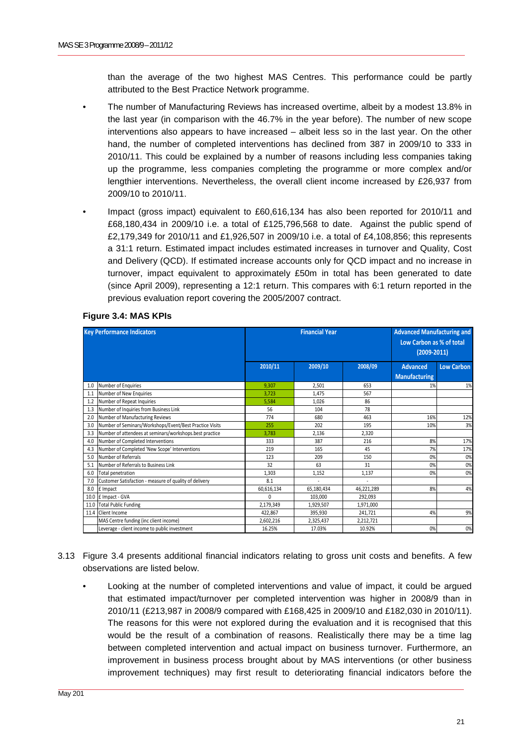than the average of the two highest MAS Centres. This performance could be partly attributed to the Best Practice Network programme.

- The number of Manufacturing Reviews has increased overtime, albeit by a modest 13.8% in the last year (in comparison with the 46.7% in the year before). The number of new scope interventions also appears to have increased – albeit less so in the last year. On the other hand, the number of completed interventions has declined from 387 in 2009/10 to 333 in 2010/11. This could be explained by a number of reasons including less companies taking up the programme, less companies completing the programme or more complex and/or lengthier interventions. Nevertheless, the overall client income increased by £26,937 from 2009/10 to 2010/11.
- Impact (gross impact) equivalent to £60,616,134 has also been reported for 2010/11 and £68,180,434 in 2009/10 i.e. a total of £125,796,568 to date. Against the public spend of £2,179,349 for 2010/11 and £1,926,507 in 2009/10 i.e. a total of £4,108,856; this represents a 31:1 return. Estimated impact includes estimated increases in turnover and Quality, Cost and Delivery (QCD). If estimated increase accounts only for QCD impact and no increase in turnover, impact equivalent to approximately £50m in total has been generated to date (since April 2009), representing a 12:1 return. This compares with 6:1 return reported in the previous evaluation report covering the 2005/2007 contract.

|      | <b>Key Performance Indicators</b>                       |            | <b>Financial Year</b> | <b>Advanced Manufacturing and</b><br>Low Carbon as % of total<br>$(2009 - 2011)$ |                      |                   |
|------|---------------------------------------------------------|------------|-----------------------|----------------------------------------------------------------------------------|----------------------|-------------------|
|      |                                                         | 2010/11    | 2009/10               | 2008/09                                                                          | <b>Advanced</b>      | <b>Low Carbon</b> |
|      |                                                         |            |                       |                                                                                  | <b>Manufacturing</b> |                   |
| 1.0  | Number of Enquiries                                     | 9.307      | 2,501                 | 653                                                                              | 1%                   | 1%                |
| 1.1  | Number of New Enquiries                                 | 3.723      | 1,475                 | 567                                                                              |                      |                   |
| 1.2  | Number of Repeat Inquiries                              | 5,584      | 1,026                 | 86                                                                               |                      |                   |
| 1.3  | Number of Inquiries from Business Link                  | 56         | 104                   | 78                                                                               |                      |                   |
| 2.0  | Number of Manufacturing Reviews                         | 774        | 680                   | 463                                                                              | 16%                  | 12%               |
| 3.0  | Number of Seminars/Workshops/Event/Best Practice Visits | 255        | 202                   | 195                                                                              | 10%                  | 3%                |
| 3.3  | Number of attendees at seminars/workshops.best practice | 3.783      | 2,136                 | 2,320                                                                            |                      |                   |
| 4.0  | Number of Completed Interventions                       | 333        | 387                   | 216                                                                              | 8%                   | 17%               |
| 4.3  | Number of Completed 'New Scope' Interventions           | 219        | 165                   | 45                                                                               | 7%                   | 17%               |
| 5.0  | Number of Referrals                                     | 123        | 209                   | 150                                                                              | 0%                   | 0%                |
| 5.1  | Number of Referrals to Business Link                    | 32         | 63                    | 31                                                                               | 0%                   | 0%                |
| 6.0  | <b>Total penetration</b>                                | 1.303      | 1,152                 | 1,137                                                                            | 0%                   | 0%                |
| 7.0  | Customer Satisfaction - measure of quality of delivery  | 8.1        |                       |                                                                                  |                      |                   |
| 8.0  | £ Impact                                                | 60,616,134 | 65,180,434            | 46,221,289                                                                       | 8%                   | 4%                |
| 10.0 | £ Impact - GVA                                          | 0          | 103,000               | 292,093                                                                          |                      |                   |
| 11.0 | <b>Total Public Funding</b>                             | 2,179,349  | 1,929,507             | 1,971,000                                                                        |                      |                   |
|      | 11.4 Client Income                                      | 422.867    | 395,930               | 241,721                                                                          | 4%                   | 9%                |
|      | MAS Centre funding (inc client income)                  | 2,602,216  | 2,325,437             | 2,212,721                                                                        |                      |                   |
|      | Leverage - client income to public investment           | 16.25%     | 17.03%                | 10.92%                                                                           | 0%                   | 0%                |

#### **Figure 3.4: MAS KPIs**

- 3.13 Figure 3.4 presents additional financial indicators relating to gross unit costs and benefits. A few observations are listed below.
	- Looking at the number of completed interventions and value of impact, it could be argued that estimated impact/turnover per completed intervention was higher in 2008/9 than in 2010/11 (£213,987 in 2008/9 compared with £168,425 in 2009/10 and £182,030 in 2010/11). The reasons for this were not explored during the evaluation and it is recognised that this would be the result of a combination of reasons. Realistically there may be a time lag between completed intervention and actual impact on business turnover. Furthermore, an improvement in business process brought about by MAS interventions (or other business improvement techniques) may first result to deteriorating financial indicators before the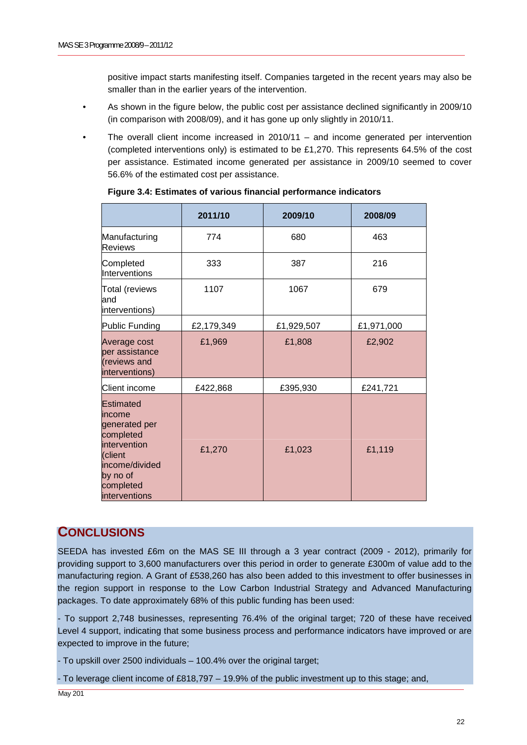positive impact starts manifesting itself. Companies targeted in the recent years may also be smaller than in the earlier years of the intervention.

- As shown in the figure below, the public cost per assistance declined significantly in 2009/10 (in comparison with 2008/09), and it has gone up only slightly in 2010/11.
- The overall client income increased in  $2010/11 -$  and income generated per intervention (completed interventions only) is estimated to be £1,270. This represents 64.5% of the cost per assistance. Estimated income generated per assistance in 2009/10 seemed to cover 56.6% of the estimated cost per assistance.

|                                                                                                                                          | 2011/10    | 2009/10    | 2008/09    |
|------------------------------------------------------------------------------------------------------------------------------------------|------------|------------|------------|
| Manufacturing<br><b>Reviews</b>                                                                                                          | 774        | 680        | 463        |
| Completed<br>Interventions                                                                                                               | 333        | 387        | 216        |
| Total (reviews<br>and<br>interventions)                                                                                                  | 1107       |            | 679        |
| Public Funding                                                                                                                           | £2,179,349 | £1,929,507 | £1,971,000 |
| Average cost<br>per assistance<br>(reviews and<br>interventions)                                                                         | £1,969     | £1,808     | £2,902     |
| Client income                                                                                                                            | £422,868   | £395,930   | £241,721   |
| Estimated<br>income<br>generated per<br>completed<br>intervention<br>(client<br>income/divided<br>by no of<br>completed<br>interventions | £1,270     | £1,023     | £1,119     |

## **CONCLUSIONS**

SEEDA has invested £6m on the MAS SE III through a 3 year contract (2009 - 2012), primarily for providing support to 3,600 manufacturers over this period in order to generate £300m of value add to the manufacturing region. A Grant of £538,260 has also been added to this investment to offer businesses in the region support in response to the Low Carbon Industrial Strategy and Advanced Manufacturing packages. To date approximately 68% of this public funding has been used:

- To support 2,748 businesses, representing 76.4% of the original target; 720 of these have received Level 4 support, indicating that some business process and performance indicators have improved or are expected to improve in the future;

- To upskill over 2500 individuals – 100.4% over the original target;

- To leverage client income of £818,797 – 19.9% of the public investment up to this stage; and,

May 201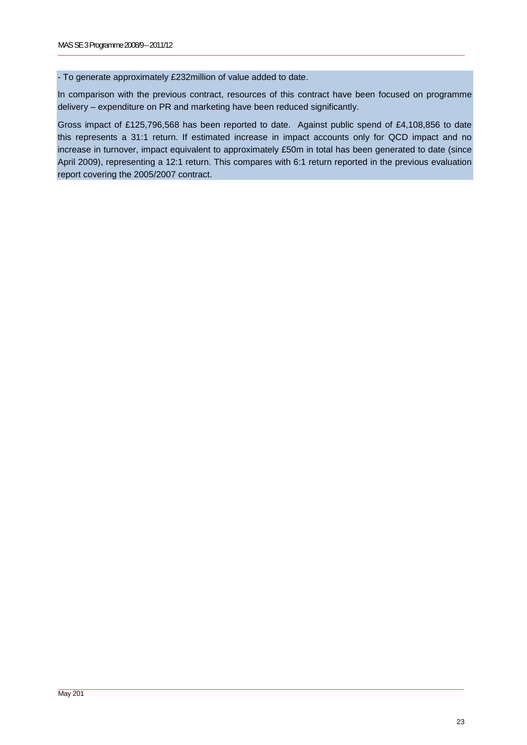- To generate approximately £232million of value added to date.

In comparison with the previous contract, resources of this contract have been focused on programme delivery – expenditure on PR and marketing have been reduced significantly.

Gross impact of £125,796,568 has been reported to date. Against public spend of £4,108,856 to date this represents a 31:1 return. If estimated increase in impact accounts only for QCD impact and no increase in turnover, impact equivalent to approximately £50m in total has been generated to date (since April 2009), representing a 12:1 return. This compares with 6:1 return reported in the previous evaluation report covering the 2005/2007 contract.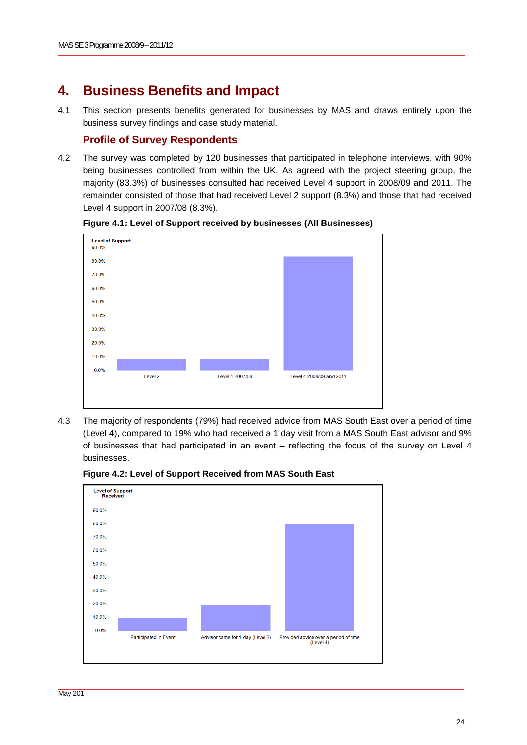## **4. Business Benefits and Impact**

4.1 This section presents benefits generated for businesses by MAS and draws entirely upon the business survey findings and case study material.

## **Profile of Survey Respondents**

4.2 The survey was completed by 120 businesses that participated in telephone interviews, with 90% being businesses controlled from within the UK. As agreed with the project steering group, the majority (83.3%) of businesses consulted had received Level 4 support in 2008/09 and 2011. The remainder consisted of those that had received Level 2 support (8.3%) and those that had received Level 4 support in 2007/08 (8.3%).



#### **Figure 4.1: Level of Support received by businesses (All Businesses)**

4.3 The majority of respondents (79%) had received advice from MAS South East over a period of time (Level 4), compared to 19% who had received a 1 day visit from a MAS South East advisor and 9% of businesses that had participated in an event – reflecting the focus of the survey on Level 4 businesses.



#### **Figure 4.2: Level of Support Received from MAS South East**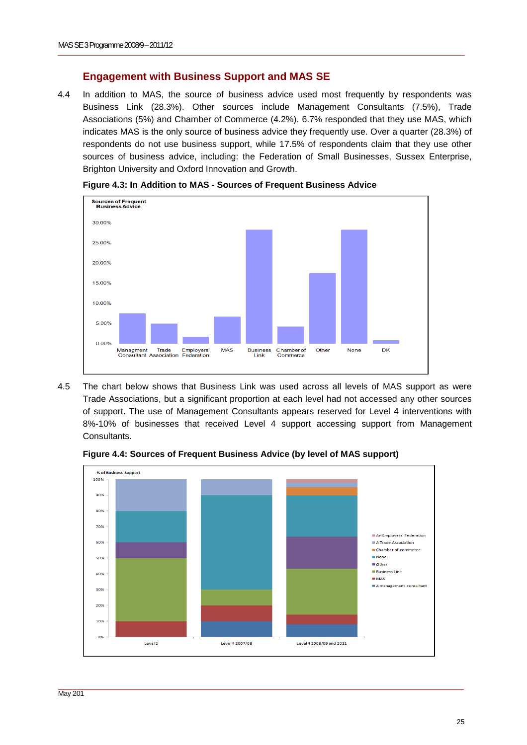## **Engagement with Business Support and MAS SE**

4.4 In addition to MAS, the source of business advice used most frequently by respondents was Business Link (28.3%). Other sources include Management Consultants (7.5%), Trade Associations (5%) and Chamber of Commerce (4.2%). 6.7% responded that they use MAS, which indicates MAS is the only source of business advice they frequently use. Over a quarter (28.3%) of respondents do not use business support, while 17.5% of respondents claim that they use other sources of business advice, including: the Federation of Small Businesses, Sussex Enterprise, Brighton University and Oxford Innovation and Growth.





4.5 The chart below shows that Business Link was used across all levels of MAS support as were Trade Associations, but a significant proportion at each level had not accessed any other sources of support. The use of Management Consultants appears reserved for Level 4 interventions with 8%-10% of businesses that received Level 4 support accessing support from Management Consultants.



**Figure 4.4: Sources of Frequent Business Advice (by level of MAS support)**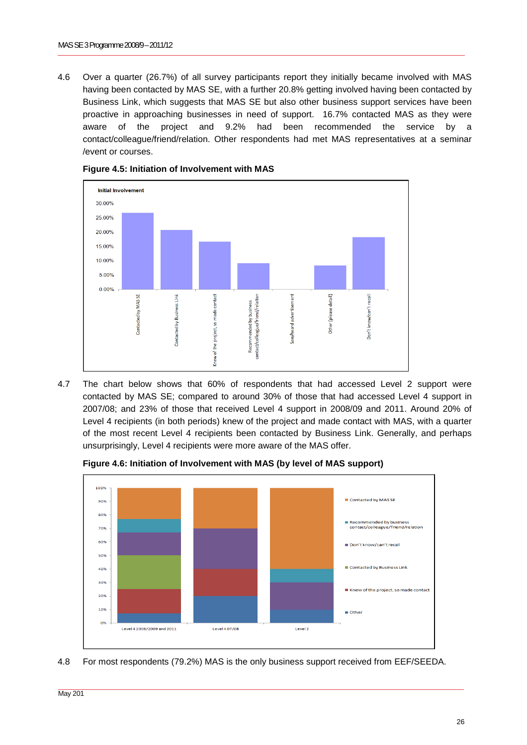4.6 Over a quarter (26.7%) of all survey participants report they initially became involved with MAS having been contacted by MAS SE, with a further 20.8% getting involved having been contacted by Business Link, which suggests that MAS SE but also other business support services have been proactive in approaching businesses in need of support. 16.7% contacted MAS as they were aware of the project and 9.2% had been recommended the service by a contact/colleague/friend/relation. Other respondents had met MAS representatives at a seminar /event or courses.





4.7 The chart below shows that 60% of respondents that had accessed Level 2 support were contacted by MAS SE; compared to around 30% of those that had accessed Level 4 support in 2007/08; and 23% of those that received Level 4 support in 2008/09 and 2011. Around 20% of Level 4 recipients (in both periods) knew of the project and made contact with MAS, with a quarter of the most recent Level 4 recipients been contacted by Business Link. Generally, and perhaps unsurprisingly, Level 4 recipients were more aware of the MAS offer.



**Figure 4.6: Initiation of Involvement with MAS (by level of MAS support)** 

4.8 For most respondents (79.2%) MAS is the only business support received from EEF/SEEDA.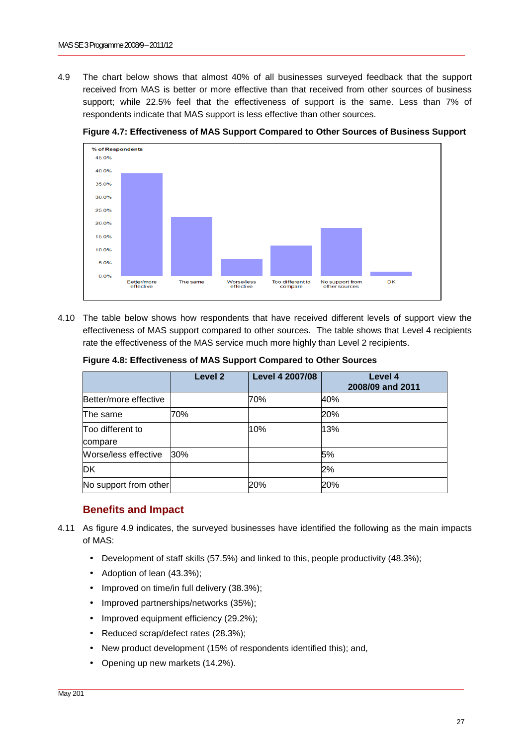4.9 The chart below shows that almost 40% of all businesses surveyed feedback that the support received from MAS is better or more effective than that received from other sources of business support; while 22.5% feel that the effectiveness of support is the same. Less than 7% of respondents indicate that MAS support is less effective than other sources.



**Figure 4.7: Effectiveness of MAS Support Compared to Other Sources of Business Support** 

4.10 The table below shows how respondents that have received different levels of support view the effectiveness of MAS support compared to other sources. The table shows that Level 4 recipients rate the effectiveness of the MAS service much more highly than Level 2 recipients.

|                             | Level 2 | <b>Level 4 2007/08</b> | Level 4<br>2008/09 and 2011 |
|-----------------------------|---------|------------------------|-----------------------------|
| Better/more effective       |         | 70%                    | 40%                         |
| The same                    | 70%     |                        | 20%                         |
| Too different to<br>compare |         | 10%                    | 13%                         |
| Worse/less effective        | 30%     |                        | 5%                          |
| <b>DK</b>                   |         |                        | 2%                          |
| No support from other       |         | 20%                    | 20%                         |

**Figure 4.8: Effectiveness of MAS Support Compared to Other Sources** 

## **Benefits and Impact**

- 4.11 As figure 4.9 indicates, the surveyed businesses have identified the following as the main impacts of MAS:
	- Development of staff skills (57.5%) and linked to this, people productivity (48.3%);
	- Adoption of lean (43.3%);
	- Improved on time/in full delivery (38.3%):
	- Improved partnerships/networks (35%);
	- Improved equipment efficiency (29.2%);
	- Reduced scrap/defect rates (28.3%);
	- New product development (15% of respondents identified this); and,
	- Opening up new markets (14.2%).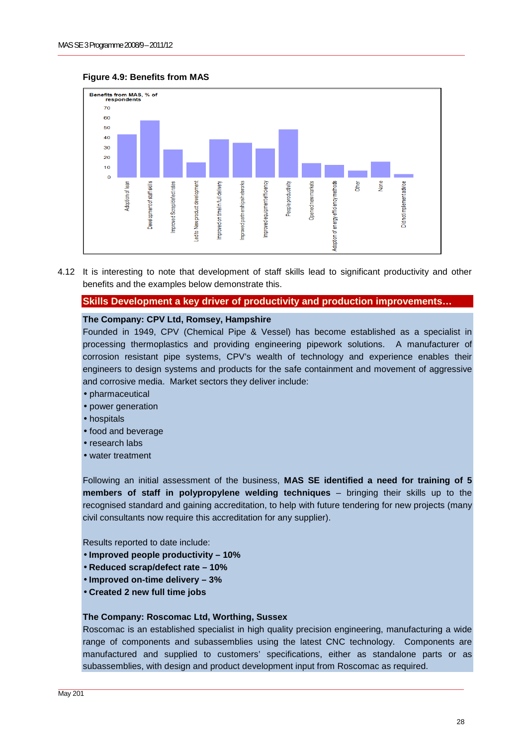**Figure 4.9: Benefits from MAS** 



4.12 It is interesting to note that development of staff skills lead to significant productivity and other benefits and the examples below demonstrate this.

#### **Skills Development a key driver of productivity and production improvements…**

#### **The Company: CPV Ltd, Romsey, Hampshire**

Founded in 1949, CPV (Chemical Pipe & Vessel) has become established as a specialist in processing thermoplastics and providing engineering pipework solutions. A manufacturer of corrosion resistant pipe systems, CPV's wealth of technology and experience enables their engineers to design systems and products for the safe containment and movement of aggressive and corrosive media. Market sectors they deliver include:

- pharmaceutical
- power generation
- hospitals
- food and beverage
- research labs
- water treatment

Following an initial assessment of the business, **MAS SE identified a need for training of 5 members of staff in polypropylene welding techniques** – bringing their skills up to the recognised standard and gaining accreditation, to help with future tendering for new projects (many civil consultants now require this accreditation for any supplier).

Results reported to date include:

- **Improved people productivity 10%**
- **Reduced scrap/defect rate 10%**
- **Improved on-time delivery 3%**
- **Created 2 new full time jobs**

#### **The Company: Roscomac Ltd, Worthing, Sussex**

Roscomac is an established specialist in high quality precision engineering, manufacturing a wide range of components and subassemblies using the latest CNC technology. Components are manufactured and supplied to customers' specifications, either as standalone parts or as subassemblies, with design and product development input from Roscomac as required.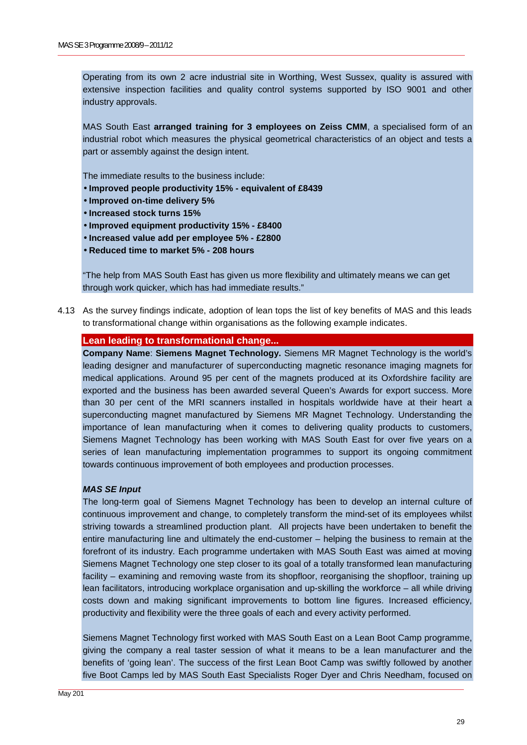Operating from its own 2 acre industrial site in Worthing, West Sussex, quality is assured with extensive inspection facilities and quality control systems supported by ISO 9001 and other industry approvals.

MAS South East **arranged training for 3 employees on Zeiss CMM**, a specialised form of an industrial robot which measures the physical geometrical characteristics of an object and tests a part or assembly against the design intent.

The immediate results to the business include:

- **Improved people productivity 15% equivalent of £8439**
- **Improved on-time delivery 5%**
- **Increased stock turns 15%**
- **Improved equipment productivity 15% £8400**
- **Increased value add per employee 5% £2800**
- **Reduced time to market 5% 208 hours**

"The help from MAS South East has given us more flexibility and ultimately means we can get through work quicker, which has had immediate results."

4.13 As the survey findings indicate, adoption of lean tops the list of key benefits of MAS and this leads to transformational change within organisations as the following example indicates.

#### **Lean leading to transformational change...**

**Company Name**: **Siemens Magnet Technology.** Siemens MR Magnet Technology is the world's leading designer and manufacturer of superconducting magnetic resonance imaging magnets for medical applications. Around 95 per cent of the magnets produced at its Oxfordshire facility are exported and the business has been awarded several Queen's Awards for export success. More than 30 per cent of the MRI scanners installed in hospitals worldwide have at their heart a superconducting magnet manufactured by Siemens MR Magnet Technology. Understanding the importance of lean manufacturing when it comes to delivering quality products to customers, Siemens Magnet Technology has been working with MAS South East for over five years on a series of lean manufacturing implementation programmes to support its ongoing commitment towards continuous improvement of both employees and production processes.

#### **MAS SE Input**

The long-term goal of Siemens Magnet Technology has been to develop an internal culture of continuous improvement and change, to completely transform the mind-set of its employees whilst striving towards a streamlined production plant. All projects have been undertaken to benefit the entire manufacturing line and ultimately the end-customer – helping the business to remain at the forefront of its industry. Each programme undertaken with MAS South East was aimed at moving Siemens Magnet Technology one step closer to its goal of a totally transformed lean manufacturing facility – examining and removing waste from its shopfloor, reorganising the shopfloor, training up lean facilitators, introducing workplace organisation and up-skilling the workforce – all while driving costs down and making significant improvements to bottom line figures. Increased efficiency, productivity and flexibility were the three goals of each and every activity performed.

Siemens Magnet Technology first worked with MAS South East on a Lean Boot Camp programme, giving the company a real taster session of what it means to be a lean manufacturer and the benefits of 'going lean'. The success of the first Lean Boot Camp was swiftly followed by another five Boot Camps led by MAS South East Specialists Roger Dyer and Chris Needham, focused on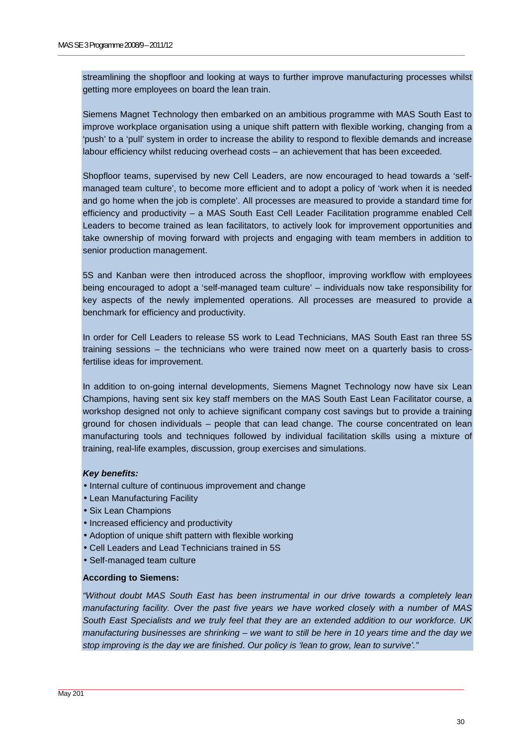streamlining the shopfloor and looking at ways to further improve manufacturing processes whilst getting more employees on board the lean train.

Siemens Magnet Technology then embarked on an ambitious programme with MAS South East to improve workplace organisation using a unique shift pattern with flexible working, changing from a 'push' to a 'pull' system in order to increase the ability to respond to flexible demands and increase labour efficiency whilst reducing overhead costs – an achievement that has been exceeded.

Shopfloor teams, supervised by new Cell Leaders, are now encouraged to head towards a 'selfmanaged team culture', to become more efficient and to adopt a policy of 'work when it is needed and go home when the job is complete'. All processes are measured to provide a standard time for efficiency and productivity – a MAS South East Cell Leader Facilitation programme enabled Cell Leaders to become trained as lean facilitators, to actively look for improvement opportunities and take ownership of moving forward with projects and engaging with team members in addition to senior production management.

5S and Kanban were then introduced across the shopfloor, improving workflow with employees being encouraged to adopt a 'self-managed team culture' – individuals now take responsibility for key aspects of the newly implemented operations. All processes are measured to provide a benchmark for efficiency and productivity.

In order for Cell Leaders to release 5S work to Lead Technicians, MAS South East ran three 5S training sessions – the technicians who were trained now meet on a quarterly basis to crossfertilise ideas for improvement.

In addition to on-going internal developments, Siemens Magnet Technology now have six Lean Champions, having sent six key staff members on the MAS South East Lean Facilitator course, a workshop designed not only to achieve significant company cost savings but to provide a training ground for chosen individuals – people that can lead change. The course concentrated on lean manufacturing tools and techniques followed by individual facilitation skills using a mixture of training, real-life examples, discussion, group exercises and simulations.

#### **Key benefits:**

- Internal culture of continuous improvement and change
- Lean Manufacturing Facility
- Six Lean Champions
- Increased efficiency and productivity
- Adoption of unique shift pattern with flexible working
- Cell Leaders and Lead Technicians trained in 5S
- Self-managed team culture

#### **According to Siemens:**

"Without doubt MAS South East has been instrumental in our drive towards a completely lean manufacturing facility. Over the past five years we have worked closely with a number of MAS South East Specialists and we truly feel that they are an extended addition to our workforce. UK manufacturing businesses are shrinking – we want to still be here in 10 years time and the day we stop improving is the day we are finished. Our policy is 'lean to grow, lean to survive'."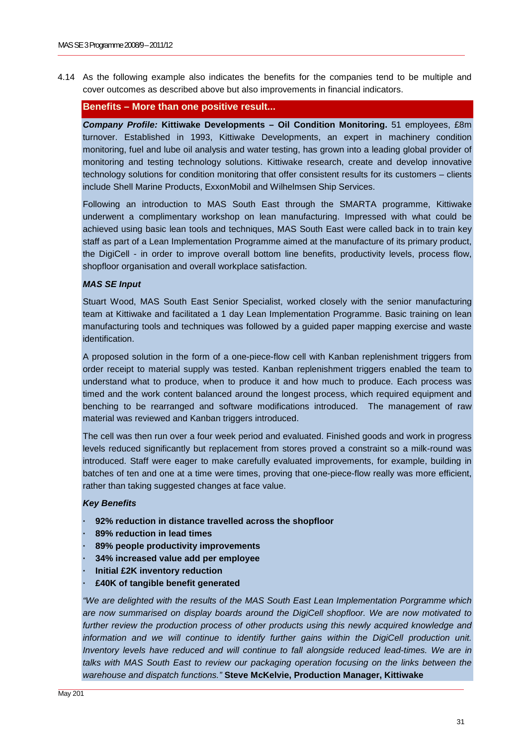4.14 As the following example also indicates the benefits for the companies tend to be multiple and cover outcomes as described above but also improvements in financial indicators.

#### **Benefits – More than one positive result...**

**Company Profile: Kittiwake Developments – Oil Condition Monitoring.** 51 employees, £8m turnover. Established in 1993, Kittiwake Developments, an expert in machinery condition monitoring, fuel and lube oil analysis and water testing, has grown into a leading global provider of monitoring and testing technology solutions. Kittiwake research, create and develop innovative technology solutions for condition monitoring that offer consistent results for its customers – clients include Shell Marine Products, ExxonMobil and Wilhelmsen Ship Services.

Following an introduction to MAS South East through the SMARTA programme, Kittiwake underwent a complimentary workshop on lean manufacturing. Impressed with what could be achieved using basic lean tools and techniques, MAS South East were called back in to train key staff as part of a Lean Implementation Programme aimed at the manufacture of its primary product, the DigiCell - in order to improve overall bottom line benefits, productivity levels, process flow, shopfloor organisation and overall workplace satisfaction.

#### **MAS SE Input**

Stuart Wood, MAS South East Senior Specialist, worked closely with the senior manufacturing team at Kittiwake and facilitated a 1 day Lean Implementation Programme. Basic training on lean manufacturing tools and techniques was followed by a guided paper mapping exercise and waste identification.

A proposed solution in the form of a one-piece-flow cell with Kanban replenishment triggers from order receipt to material supply was tested. Kanban replenishment triggers enabled the team to understand what to produce, when to produce it and how much to produce. Each process was timed and the work content balanced around the longest process, which required equipment and benching to be rearranged and software modifications introduced. The management of raw material was reviewed and Kanban triggers introduced.

The cell was then run over a four week period and evaluated. Finished goods and work in progress levels reduced significantly but replacement from stores proved a constraint so a milk-round was introduced. Staff were eager to make carefully evaluated improvements, for example, building in batches of ten and one at a time were times, proving that one-piece-flow really was more efficient, rather than taking suggested changes at face value.

#### **Key Benefits**

- **· 92% reduction in distance travelled across the shopfloor**
- **· 89% reduction in lead times**
- **· 89% people productivity improvements**
- **· 34% increased value add per employee**
- **· Initial £2K inventory reduction**
- **· £40K of tangible benefit generated**

"We are delighted with the results of the MAS South East Lean Implementation Porgramme which are now summarised on display boards around the DigiCell shopfloor. We are now motivated to further review the production process of other products using this newly acquired knowledge and information and we will continue to identify further gains within the DigiCell production unit. Inventory levels have reduced and will continue to fall alongside reduced lead-times. We are in talks with MAS South East to review our packaging operation focusing on the links between the warehouse and dispatch functions." **Steve McKelvie, Production Manager, Kittiwake**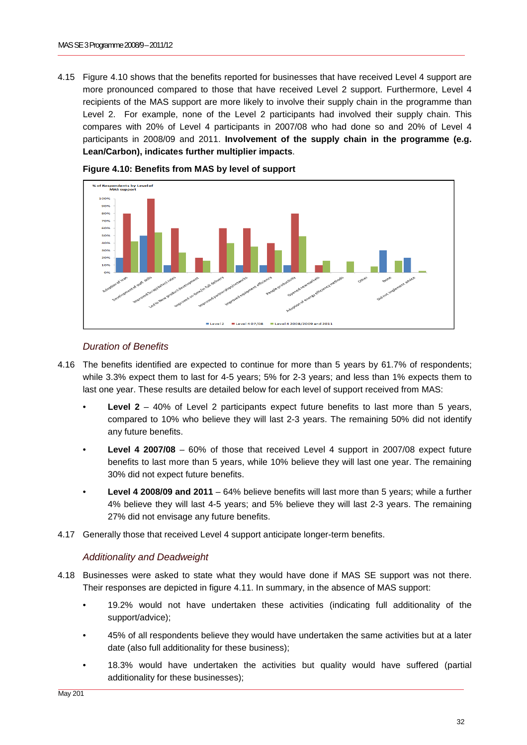4.15 Figure 4.10 shows that the benefits reported for businesses that have received Level 4 support are more pronounced compared to those that have received Level 2 support. Furthermore, Level 4 recipients of the MAS support are more likely to involve their supply chain in the programme than Level 2. For example, none of the Level 2 participants had involved their supply chain. This compares with 20% of Level 4 participants in 2007/08 who had done so and 20% of Level 4 participants in 2008/09 and 2011. **Involvement of the supply chain in the programme (e.g. Lean/Carbon), indicates further multiplier impacts**.





#### Duration of Benefits

- 4.16 The benefits identified are expected to continue for more than 5 years by 61.7% of respondents; while 3.3% expect them to last for 4-5 years; 5% for 2-3 years; and less than 1% expects them to last one year. These results are detailed below for each level of support received from MAS:
	- **Level 2** 40% of Level 2 participants expect future benefits to last more than 5 years, compared to 10% who believe they will last 2-3 years. The remaining 50% did not identify any future benefits.
	- **Level 4 2007/08** 60% of those that received Level 4 support in 2007/08 expect future benefits to last more than 5 years, while 10% believe they will last one year. The remaining 30% did not expect future benefits.
	- **Level 4 2008/09 and 2011** 64% believe benefits will last more than 5 years; while a further 4% believe they will last 4-5 years; and 5% believe they will last 2-3 years. The remaining 27% did not envisage any future benefits.
- 4.17 Generally those that received Level 4 support anticipate longer-term benefits.

#### Additionality and Deadweight

- 4.18 Businesses were asked to state what they would have done if MAS SE support was not there. Their responses are depicted in figure 4.11. In summary, in the absence of MAS support:
	- 19.2% would not have undertaken these activities (indicating full additionality of the support/advice);
	- 45% of all respondents believe they would have undertaken the same activities but at a later date (also full additionality for these business);
	- 18.3% would have undertaken the activities but quality would have suffered (partial additionality for these businesses);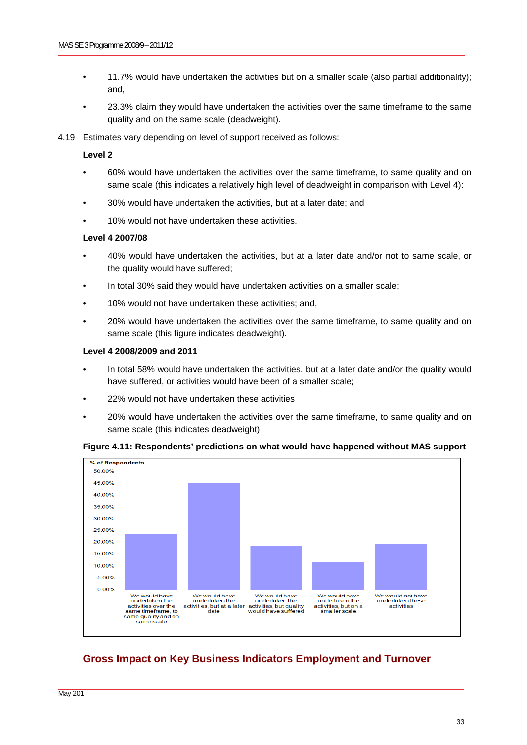- 11.7% would have undertaken the activities but on a smaller scale (also partial additionality); and,
- 23.3% claim they would have undertaken the activities over the same timeframe to the same quality and on the same scale (deadweight).
- 4.19 Estimates vary depending on level of support received as follows:

#### **Level 2**

- 60% would have undertaken the activities over the same timeframe, to same quality and on same scale (this indicates a relatively high level of deadweight in comparison with Level 4):
- 30% would have undertaken the activities, but at a later date; and
- 10% would not have undertaken these activities.

#### **Level 4 2007/08**

- 40% would have undertaken the activities, but at a later date and/or not to same scale, or the quality would have suffered;
- In total 30% said they would have undertaken activities on a smaller scale;
- 10% would not have undertaken these activities; and,
- 20% would have undertaken the activities over the same timeframe, to same quality and on same scale (this figure indicates deadweight).

#### **Level 4 2008/2009 and 2011**

- In total 58% would have undertaken the activities, but at a later date and/or the quality would have suffered, or activities would have been of a smaller scale;
- 22% would not have undertaken these activities
- 20% would have undertaken the activities over the same timeframe, to same quality and on same scale (this indicates deadweight)

### **Figure 4.11: Respondents' predictions on what would have happened without MAS support**



## **Gross Impact on Key Business Indicators Employment and Turnover**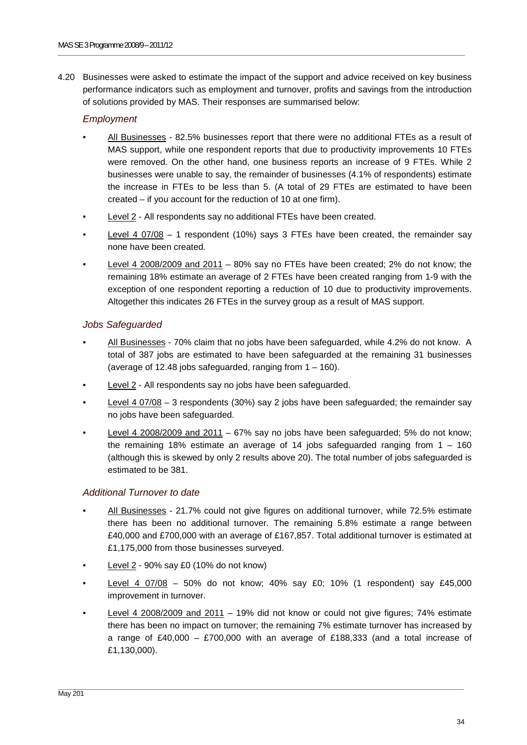4.20 Businesses were asked to estimate the impact of the support and advice received on key business performance indicators such as employment and turnover, profits and savings from the introduction of solutions provided by MAS. Their responses are summarised below:

#### Employment

- All Businesses 82.5% businesses report that there were no additional FTEs as a result of MAS support, while one respondent reports that due to productivity improvements 10 FTEs were removed. On the other hand, one business reports an increase of 9 FTEs. While 2 businesses were unable to say, the remainder of businesses (4.1% of respondents) estimate the increase in FTEs to be less than 5. (A total of 29 FTEs are estimated to have been created – if you account for the reduction of 10 at one firm).
- Level 2 All respondents say no additional FTEs have been created.
- Level 4 07/08  $-$  1 respondent (10%) says 3 FTEs have been created, the remainder say none have been created.
- Level 4 2008/2009 and 2011 80% say no FTEs have been created;  $2\%$  do not know; the remaining 18% estimate an average of 2 FTEs have been created ranging from 1-9 with the exception of one respondent reporting a reduction of 10 due to productivity improvements. Altogether this indicates 26 FTEs in the survey group as a result of MAS support.

## Jobs Safeguarded

- All Businesses 70% claim that no jobs have been safeguarded, while 4.2% do not know. A total of 387 jobs are estimated to have been safeguarded at the remaining 31 businesses (average of 12.48 jobs safeguarded, ranging from  $1 - 160$ ).
- Level 2 All respondents say no jobs have been safeguarded.
- Level 4 07/08 3 respondents (30%) say 2 jobs have been safeguarded; the remainder say no jobs have been safeguarded.
- Level 4 2008/2009 and 2011  $67\%$  say no jobs have been safeguarded; 5% do not know; the remaining 18% estimate an average of 14 jobs safeguarded ranging from  $1 - 160$ (although this is skewed by only 2 results above 20). The total number of jobs safeguarded is estimated to be 381.

## Additional Turnover to date

- All Businesses 21.7% could not give figures on additional turnover, while 72.5% estimate there has been no additional turnover. The remaining 5.8% estimate a range between £40,000 and £700,000 with an average of £167,857. Total additional turnover is estimated at £1,175,000 from those businesses surveyed.
- Level 2 90% say £0 (10% do not know)
- **Level 4 07/08 50% do not know; 40% say £0; 10% (1 respondent) say £45,000** improvement in turnover.
- Level 4 2008/2009 and 2011 19% did not know or could not give figures;  $74%$  estimate there has been no impact on turnover; the remaining 7% estimate turnover has increased by a range of £40,000 – £700,000 with an average of £188,333 (and a total increase of £1,130,000).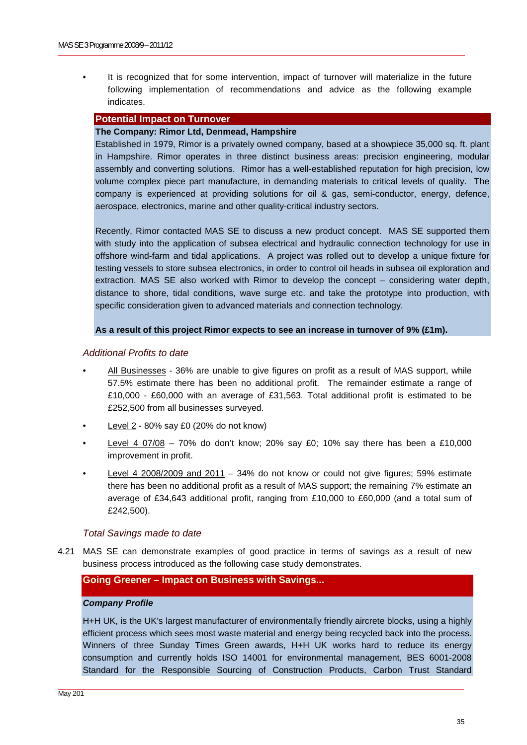It is recognized that for some intervention, impact of turnover will materialize in the future following implementation of recommendations and advice as the following example indicates.

#### **Potential Impact on Turnover**

#### **The Company: Rimor Ltd, Denmead, Hampshire**

Established in 1979, Rimor is a privately owned company, based at a showpiece 35,000 sq. ft. plant in Hampshire. Rimor operates in three distinct business areas: precision engineering, modular assembly and converting solutions. Rimor has a well-established reputation for high precision, low volume complex piece part manufacture, in demanding materials to critical levels of quality. The company is experienced at providing solutions for oil & gas, semi-conductor, energy, defence, aerospace, electronics, marine and other quality-critical industry sectors.

Recently, Rimor contacted MAS SE to discuss a new product concept. MAS SE supported them with study into the application of subsea electrical and hydraulic connection technology for use in offshore wind-farm and tidal applications. A project was rolled out to develop a unique fixture for testing vessels to store subsea electronics, in order to control oil heads in subsea oil exploration and extraction. MAS SE also worked with Rimor to develop the concept – considering water depth, distance to shore, tidal conditions, wave surge etc. and take the prototype into production, with specific consideration given to advanced materials and connection technology.

#### **As a result of this project Rimor expects to see an increase in turnover of 9% (£1m).**

#### Additional Profits to date

- All Businesses 36% are unable to give figures on profit as a result of MAS support, while 57.5% estimate there has been no additional profit. The remainder estimate a range of £10,000 - £60,000 with an average of £31,563. Total additional profit is estimated to be £252,500 from all businesses surveyed.
- Level 2 80% say £0 (20% do not know)
- Level 4 07/08 70% do don't know; 20% say £0; 10% say there has been a £10,000 improvement in profit.
- Level 4 2008/2009 and 2011 34% do not know or could not give figures;  $59%$  estimate there has been no additional profit as a result of MAS support; the remaining 7% estimate an average of £34,643 additional profit, ranging from £10,000 to £60,000 (and a total sum of £242,500).

#### Total Savings made to date

4.21 MAS SE can demonstrate examples of good practice in terms of savings as a result of new business process introduced as the following case study demonstrates.

#### **Going Greener – Impact on Business with Savings...**

#### **Company Profile**

H+H UK, is the UK's largest manufacturer of environmentally friendly aircrete blocks, using a highly efficient process which sees most waste material and energy being recycled back into the process. Winners of three Sunday Times Green awards, H+H UK works hard to reduce its energy consumption and currently holds ISO 14001 for environmental management, BES 6001-2008 Standard for the Responsible Sourcing of Construction Products, Carbon Trust Standard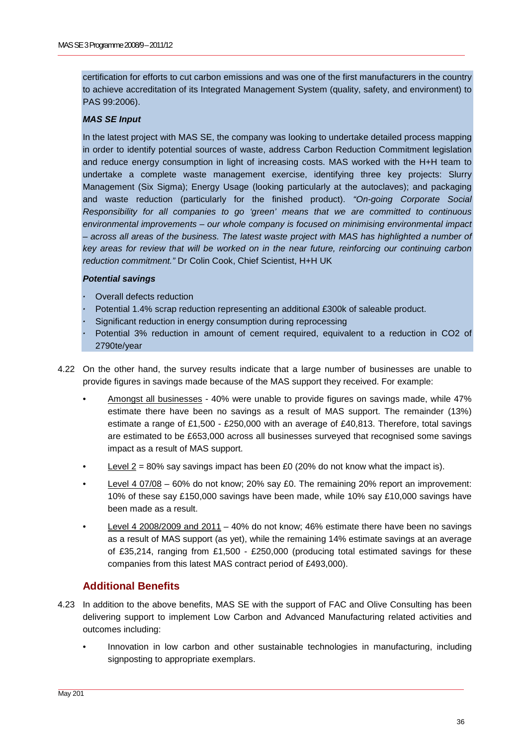certification for efforts to cut carbon emissions and was one of the first manufacturers in the country to achieve accreditation of its Integrated Management System (quality, safety, and environment) to PAS 99:2006).

#### **MAS SE Input**

In the latest project with MAS SE, the company was looking to undertake detailed process mapping in order to identify potential sources of waste, address Carbon Reduction Commitment legislation and reduce energy consumption in light of increasing costs. MAS worked with the H+H team to undertake a complete waste management exercise, identifying three key projects: Slurry Management (Six Sigma); Energy Usage (looking particularly at the autoclaves); and packaging and waste reduction (particularly for the finished product). "On-going Corporate Social Responsibility for all companies to go 'green' means that we are committed to continuous environmental improvements – our whole company is focused on minimising environmental impact – across all areas of the business. The latest waste project with MAS has highlighted a number of key areas for review that will be worked on in the near future, reinforcing our continuing carbon reduction commitment." Dr Colin Cook, Chief Scientist, H+H UK

#### **Potential savings**

- **·** Overall defects reduction
- **·** Potential 1.4% scrap reduction representing an additional £300k of saleable product.
- **·** Significant reduction in energy consumption during reprocessing
- **·** Potential 3% reduction in amount of cement required, equivalent to a reduction in CO2 of 2790te/year
- 4.22 On the other hand, the survey results indicate that a large number of businesses are unable to provide figures in savings made because of the MAS support they received. For example:
	- Amongst all businesses 40% were unable to provide figures on savings made, while 47% estimate there have been no savings as a result of MAS support. The remainder (13%) estimate a range of £1,500 - £250,000 with an average of £40,813. Therefore, total savings are estimated to be £653,000 across all businesses surveyed that recognised some savings impact as a result of MAS support.
	- Level  $2 = 80\%$  say savings impact has been £0 (20% do not know what the impact is).
	- Level 4 07/08 60% do not know; 20% say £0. The remaining 20% report an improvement: 10% of these say £150,000 savings have been made, while 10% say £10,000 savings have been made as a result.
	- Level 4 2008/2009 and 2011 40% do not know; 46% estimate there have been no savings as a result of MAS support (as yet), while the remaining 14% estimate savings at an average of £35,214, ranging from £1,500 - £250,000 (producing total estimated savings for these companies from this latest MAS contract period of £493,000).

## **Additional Benefits**

- 4.23 In addition to the above benefits, MAS SE with the support of FAC and Olive Consulting has been delivering support to implement Low Carbon and Advanced Manufacturing related activities and outcomes including:
	- Innovation in low carbon and other sustainable technologies in manufacturing, including signposting to appropriate exemplars.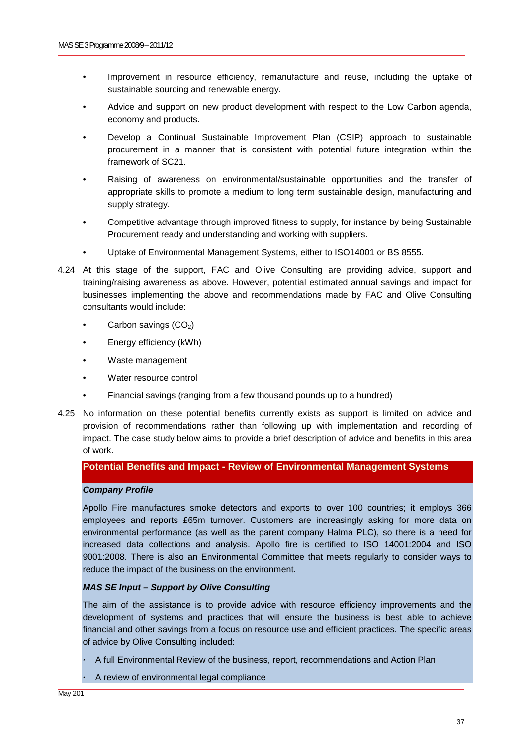- Improvement in resource efficiency, remanufacture and reuse, including the uptake of sustainable sourcing and renewable energy.
- Advice and support on new product development with respect to the Low Carbon agenda, economy and products.
- Develop a Continual Sustainable Improvement Plan (CSIP) approach to sustainable procurement in a manner that is consistent with potential future integration within the framework of SC21.
- Raising of awareness on environmental/sustainable opportunities and the transfer of appropriate skills to promote a medium to long term sustainable design, manufacturing and supply strategy.
- Competitive advantage through improved fitness to supply, for instance by being Sustainable Procurement ready and understanding and working with suppliers.
- Uptake of Environmental Management Systems, either to ISO14001 or BS 8555.
- 4.24 At this stage of the support, FAC and Olive Consulting are providing advice, support and training/raising awareness as above. However, potential estimated annual savings and impact for businesses implementing the above and recommendations made by FAC and Olive Consulting consultants would include:
	- Carbon savings  $(CO<sub>2</sub>)$
	- Energy efficiency (kWh)
	- Waste management
	- Water resource control
	- Financial savings (ranging from a few thousand pounds up to a hundred)
- 4.25 No information on these potential benefits currently exists as support is limited on advice and provision of recommendations rather than following up with implementation and recording of impact. The case study below aims to provide a brief description of advice and benefits in this area of work.

#### **Potential Benefits and Impact - Review of Environmental Management Systems**

#### **Company Profile**

Apollo Fire manufactures smoke detectors and exports to over 100 countries; it employs 366 employees and reports £65m turnover. Customers are increasingly asking for more data on environmental performance (as well as the parent company Halma PLC), so there is a need for increased data collections and analysis. Apollo fire is certified to ISO 14001:2004 and ISO 9001:2008. There is also an Environmental Committee that meets regularly to consider ways to reduce the impact of the business on the environment.

#### **MAS SE Input – Support by Olive Consulting**

The aim of the assistance is to provide advice with resource efficiency improvements and the development of systems and practices that will ensure the business is best able to achieve financial and other savings from a focus on resource use and efficient practices. The specific areas of advice by Olive Consulting included:

- **·** A full Environmental Review of the business, report, recommendations and Action Plan
- **·** A review of environmental legal compliance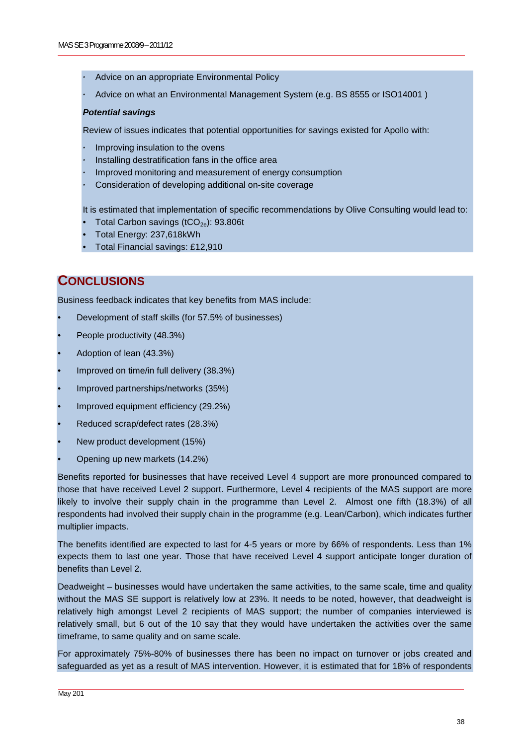- **·** Advice on an appropriate Environmental Policy
- **·** Advice on what an Environmental Management System (e.g. BS 8555 or ISO14001 )

#### **Potential savings**

Review of issues indicates that potential opportunities for savings existed for Apollo with:

- **·** Improving insulation to the ovens
- **·** Installing destratification fans in the office area
- **·** Improved monitoring and measurement of energy consumption
- **·** Consideration of developing additional on-site coverage

It is estimated that implementation of specific recommendations by Olive Consulting would lead to:

- Total Carbon savings ( $tCO_{2e}$ ): 93.806t
- Total Energy: 237,618kWh
- Total Financial savings: £12,910

## **CONCLUSIONS**

Business feedback indicates that key benefits from MAS include:

- Development of staff skills (for 57.5% of businesses)
- People productivity (48.3%)
- Adoption of lean (43.3%)
- Improved on time/in full delivery (38.3%)
- Improved partnerships/networks (35%)
- Improved equipment efficiency (29.2%)
- Reduced scrap/defect rates (28.3%)
- New product development (15%)
- Opening up new markets (14.2%)

Benefits reported for businesses that have received Level 4 support are more pronounced compared to those that have received Level 2 support. Furthermore, Level 4 recipients of the MAS support are more likely to involve their supply chain in the programme than Level 2. Almost one fifth (18.3%) of all respondents had involved their supply chain in the programme (e.g. Lean/Carbon), which indicates further multiplier impacts.

The benefits identified are expected to last for 4-5 years or more by 66% of respondents. Less than 1% expects them to last one year. Those that have received Level 4 support anticipate longer duration of benefits than Level 2.

Deadweight – businesses would have undertaken the same activities, to the same scale, time and quality without the MAS SE support is relatively low at 23%. It needs to be noted, however, that deadweight is relatively high amongst Level 2 recipients of MAS support; the number of companies interviewed is relatively small, but 6 out of the 10 say that they would have undertaken the activities over the same timeframe, to same quality and on same scale.

For approximately 75%-80% of businesses there has been no impact on turnover or jobs created and safeguarded as yet as a result of MAS intervention. However, it is estimated that for 18% of respondents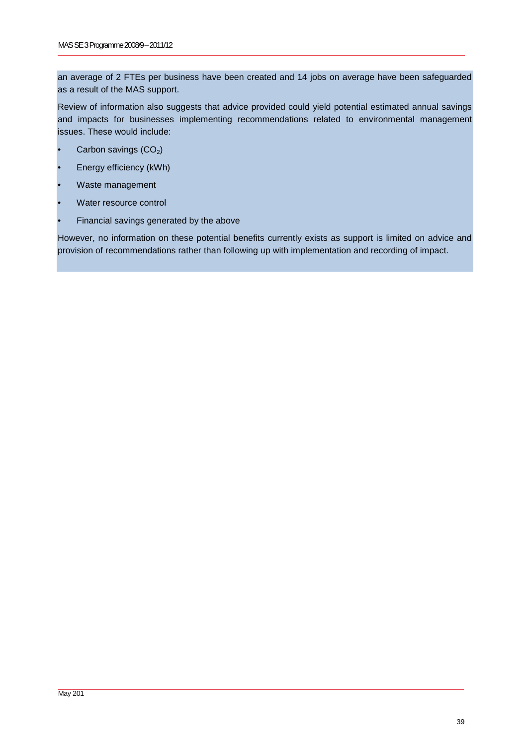an average of 2 FTEs per business have been created and 14 jobs on average have been safeguarded as a result of the MAS support.

Review of information also suggests that advice provided could yield potential estimated annual savings and impacts for businesses implementing recommendations related to environmental management issues. These would include:

- Carbon savings  $(CO<sub>2</sub>)$
- Energy efficiency (kWh)
- Waste management
- Water resource control
- Financial savings generated by the above

However, no information on these potential benefits currently exists as support is limited on advice and provision of recommendations rather than following up with implementation and recording of impact.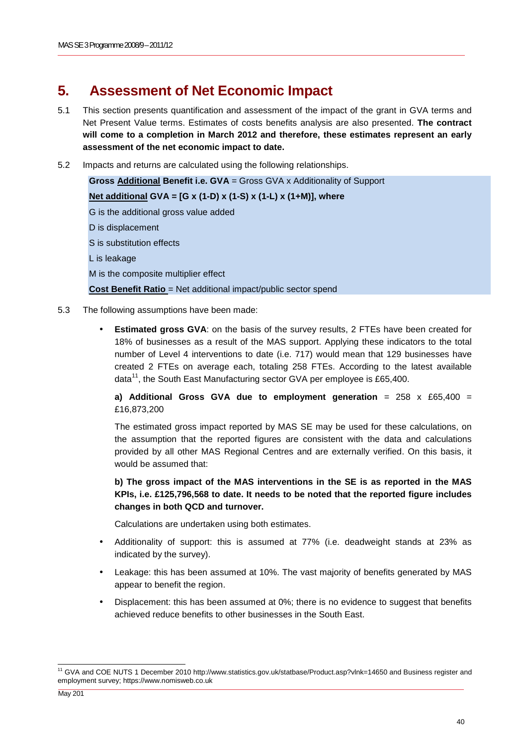## **5. Assessment of Net Economic Impact**

- 5.1 This section presents quantification and assessment of the impact of the grant in GVA terms and Net Present Value terms. Estimates of costs benefits analysis are also presented. **The contract will come to a completion in March 2012 and therefore, these estimates represent an early assessment of the net economic impact to date.**
- 5.2 Impacts and returns are calculated using the following relationships.

**Gross Additional Benefit i.e. GVA** = Gross GVA x Additionality of Support **Net additional GVA = [G x (1-D) x (1-S) x (1-L) x (1+M)], where**  G is the additional gross value added D is displacement S is substitution effects L is leakage M is the composite multiplier effect **Cost Benefit Ratio** = Net additional impact/public sector spend

- 5.3 The following assumptions have been made:
	- **Estimated gross GVA:** on the basis of the survey results, 2 FTEs have been created for 18% of businesses as a result of the MAS support. Applying these indicators to the total number of Level 4 interventions to date (i.e. 717) would mean that 129 businesses have created 2 FTEs on average each, totaling 258 FTEs. According to the latest available data<sup>11</sup>, the South East Manufacturing sector GVA per employee is £65,400.

**a) Additional Gross GVA due to employment generation** = 258 x £65,400 = £16,873,200

The estimated gross impact reported by MAS SE may be used for these calculations, on the assumption that the reported figures are consistent with the data and calculations provided by all other MAS Regional Centres and are externally verified. On this basis, it would be assumed that:

## **b) The gross impact of the MAS interventions in the SE is as reported in the MAS KPIs, i.e. £125,796,568 to date. It needs to be noted that the reported figure includes changes in both QCD and turnover.**

Calculations are undertaken using both estimates.

- Additionality of support: this is assumed at 77% (i.e. deadweight stands at 23% as indicated by the survey).
- Leakage: this has been assumed at 10%. The vast majority of benefits generated by MAS appear to benefit the region.
- Displacement: this has been assumed at 0%; there is no evidence to suggest that benefits achieved reduce benefits to other businesses in the South East.

l <sup>11</sup> GVA and COE NUTS 1 December 2010 http://www.statistics.gov.uk/statbase/Product.asp?vlnk=14650 and Business register and employment survey; https://www.nomisweb.co.uk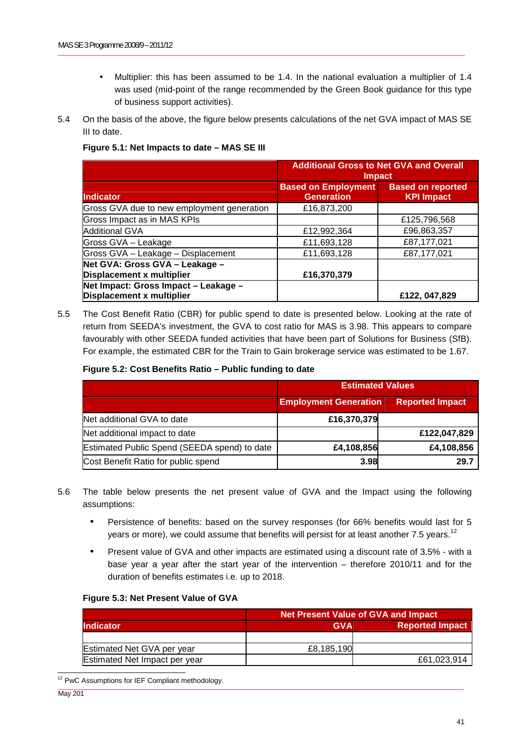- Multiplier: this has been assumed to be 1.4. In the national evaluation a multiplier of 1.4 was used (mid-point of the range recommended by the Green Book guidance for this type of business support activities).
- 5.4 On the basis of the above, the figure below presents calculations of the net GVA impact of MAS SE III to date.

|                                                                   | <b>Additional Gross to Net GVA and Overall</b><br><b>Impact</b> |                                               |  |  |
|-------------------------------------------------------------------|-----------------------------------------------------------------|-----------------------------------------------|--|--|
| <b>Indicator</b>                                                  | <b>Based on Employment</b><br><b>Generation</b>                 | <b>Based on reported</b><br><b>KPI Impact</b> |  |  |
| Gross GVA due to new employment generation                        | £16,873,200                                                     |                                               |  |  |
| Gross Impact as in MAS KPIs                                       |                                                                 | £125,796,568                                  |  |  |
| <b>Additional GVA</b>                                             | £12,992,364                                                     | £96,863,357                                   |  |  |
| Gross GVA - Leakage                                               | £11,693,128                                                     | £87,177,021                                   |  |  |
| Gross GVA - Leakage - Displacement                                | £11,693,128                                                     | £87,177,021                                   |  |  |
| Net GVA: Gross GVA - Leakage -<br>Displacement x multiplier       | £16,370,379                                                     |                                               |  |  |
| Net Impact: Gross Impact - Leakage -<br>Displacement x multiplier |                                                                 | £122, 047,829                                 |  |  |

#### **Figure 5.1: Net Impacts to date – MAS SE III**

5.5 The Cost Benefit Ratio (CBR) for public spend to date is presented below. Looking at the rate of return from SEEDA's investment, the GVA to cost ratio for MAS is 3.98. This appears to compare favourably with other SEEDA funded activities that have been part of Solutions for Business (SfB). For example, the estimated CBR for the Train to Gain brokerage service was estimated to be 1.67.

#### **Figure 5.2: Cost Benefits Ratio – Public funding to date**

|                                              | <b>Estimated Values</b>      |                        |
|----------------------------------------------|------------------------------|------------------------|
|                                              | <b>Employment Generation</b> | <b>Reported Impact</b> |
| Net additional GVA to date                   | £16,370,379                  |                        |
| Net additional impact to date                |                              | £122,047,829           |
| Estimated Public Spend (SEEDA spend) to date | £4,108,856                   | £4,108,856             |
| Cost Benefit Ratio for public spend          | 3.98                         | 29.7                   |

- 5.6 The table below presents the net present value of GVA and the Impact using the following assumptions:
	- Persistence of benefits: based on the survey responses (for 66% benefits would last for 5 years or more), we could assume that benefits will persist for at least another 7.5 years.<sup>12</sup>
	- Present value of GVA and other impacts are estimated using a discount rate of 3.5% with a base year a year after the start year of the intervention – therefore 2010/11 and for the duration of benefits estimates i.e. up to 2018.

#### **Figure 5.3: Net Present Value of GVA**

|                               |            | Net Present Value of GVA and Impact |  |
|-------------------------------|------------|-------------------------------------|--|
| <b>Indicator</b>              | <b>GVA</b> | <b>Reported Impact</b>              |  |
|                               |            |                                     |  |
| Estimated Net GVA per year    | £8,185,190 |                                     |  |
| Estimated Net Impact per year |            | £61,023,914                         |  |

 $\overline{a}$  $12$  PwC Assumptions for IEF Compliant methodology.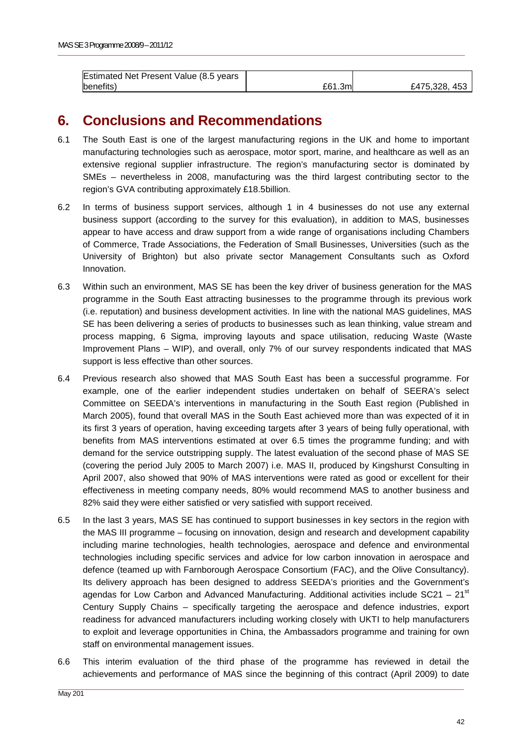| Estimated Net Present Value (8.5 years |         |               |
|----------------------------------------|---------|---------------|
| benefits)                              | £61.3ml | £475,328, 453 |

## **6. Conclusions and Recommendations**

- 6.1 The South East is one of the largest manufacturing regions in the UK and home to important manufacturing technologies such as aerospace, motor sport, marine, and healthcare as well as an extensive regional supplier infrastructure. The region's manufacturing sector is dominated by SMEs – nevertheless in 2008, manufacturing was the third largest contributing sector to the region's GVA contributing approximately £18.5billion.
- 6.2 In terms of business support services, although 1 in 4 businesses do not use any external business support (according to the survey for this evaluation), in addition to MAS, businesses appear to have access and draw support from a wide range of organisations including Chambers of Commerce, Trade Associations, the Federation of Small Businesses, Universities (such as the University of Brighton) but also private sector Management Consultants such as Oxford Innovation.
- 6.3 Within such an environment, MAS SE has been the key driver of business generation for the MAS programme in the South East attracting businesses to the programme through its previous work (i.e. reputation) and business development activities. In line with the national MAS guidelines, MAS SE has been delivering a series of products to businesses such as lean thinking, value stream and process mapping, 6 Sigma, improving layouts and space utilisation, reducing Waste (Waste Improvement Plans – WIP), and overall, only 7% of our survey respondents indicated that MAS support is less effective than other sources.
- 6.4 Previous research also showed that MAS South East has been a successful programme. For example, one of the earlier independent studies undertaken on behalf of SEERA's select Committee on SEEDA's interventions in manufacturing in the South East region (Published in March 2005), found that overall MAS in the South East achieved more than was expected of it in its first 3 years of operation, having exceeding targets after 3 years of being fully operational, with benefits from MAS interventions estimated at over 6.5 times the programme funding; and with demand for the service outstripping supply. The latest evaluation of the second phase of MAS SE (covering the period July 2005 to March 2007) i.e. MAS II, produced by Kingshurst Consulting in April 2007, also showed that 90% of MAS interventions were rated as good or excellent for their effectiveness in meeting company needs, 80% would recommend MAS to another business and 82% said they were either satisfied or very satisfied with support received.
- 6.5 In the last 3 years, MAS SE has continued to support businesses in key sectors in the region with the MAS III programme – focusing on innovation, design and research and development capability including marine technologies, health technologies, aerospace and defence and environmental technologies including specific services and advice for low carbon innovation in aerospace and defence (teamed up with Farnborough Aerospace Consortium (FAC), and the Olive Consultancy). Its delivery approach has been designed to address SEEDA's priorities and the Government's agendas for Low Carbon and Advanced Manufacturing. Additional activities include  $SC21 - 21<sup>st</sup>$ Century Supply Chains – specifically targeting the aerospace and defence industries, export readiness for advanced manufacturers including working closely with UKTI to help manufacturers to exploit and leverage opportunities in China, the Ambassadors programme and training for own staff on environmental management issues.
- 6.6 This interim evaluation of the third phase of the programme has reviewed in detail the achievements and performance of MAS since the beginning of this contract (April 2009) to date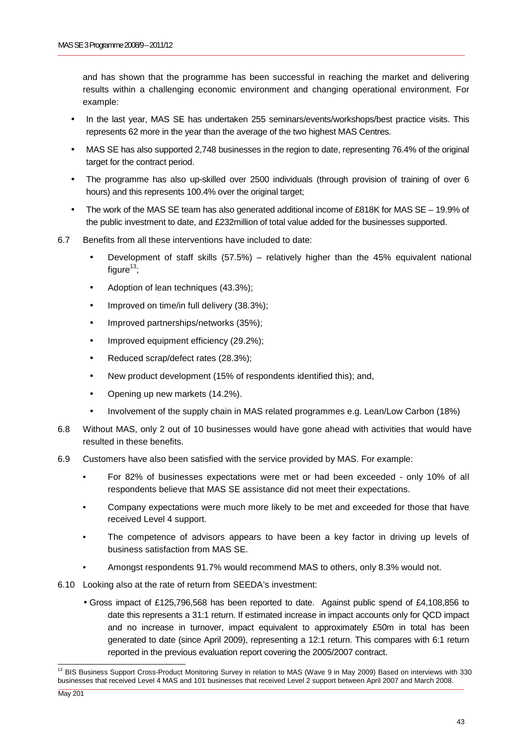and has shown that the programme has been successful in reaching the market and delivering results within a challenging economic environment and changing operational environment. For example:

- In the last year, MAS SE has undertaken 255 seminars/events/workshops/best practice visits. This represents 62 more in the year than the average of the two highest MAS Centres.
- MAS SE has also supported 2,748 businesses in the region to date, representing 76.4% of the original target for the contract period.
- The programme has also up-skilled over 2500 individuals (through provision of training of over 6 hours) and this represents 100.4% over the original target;
- The work of the MAS SE team has also generated additional income of £818K for MAS SE 19.9% of the public investment to date, and £232million of total value added for the businesses supported.
- 6.7 Benefits from all these interventions have included to date:
	- Development of staff skills (57.5%) relatively higher than the 45% equivalent national figure $13$ :
	- Adoption of lean techniques (43.3%);
	- Improved on time/in full delivery (38.3%);
	- Improved partnerships/networks (35%);
	- Improved equipment efficiency (29.2%);
	- Reduced scrap/defect rates (28.3%);
	- New product development (15% of respondents identified this); and,
	- Opening up new markets (14.2%).
	- Involvement of the supply chain in MAS related programmes e.g. Lean/Low Carbon (18%)
- 6.8 Without MAS, only 2 out of 10 businesses would have gone ahead with activities that would have resulted in these benefits.
- 6.9 Customers have also been satisfied with the service provided by MAS. For example:
	- For 82% of businesses expectations were met or had been exceeded only 10% of all respondents believe that MAS SE assistance did not meet their expectations.
	- Company expectations were much more likely to be met and exceeded for those that have received Level 4 support.
	- The competence of advisors appears to have been a key factor in driving up levels of business satisfaction from MAS SE.
	- Amongst respondents 91.7% would recommend MAS to others, only 8.3% would not.
- 6.10 Looking also at the rate of return from SEEDA's investment:
	- Gross impact of £125,796,568 has been reported to date. Against public spend of £4,108,856 to date this represents a 31:1 return. If estimated increase in impact accounts only for QCD impact and no increase in turnover, impact equivalent to approximately £50m in total has been generated to date (since April 2009), representing a 12:1 return. This compares with 6:1 return reported in the previous evaluation report covering the 2005/2007 contract.

l <sup>13</sup> BIS Business Support Cross-Product Monitoring Survey in relation to MAS (Wave 9 in May 2009) Based on interviews with 330 businesses that received Level 4 MAS and 101 businesses that received Level 2 support between April 2007 and March 2008.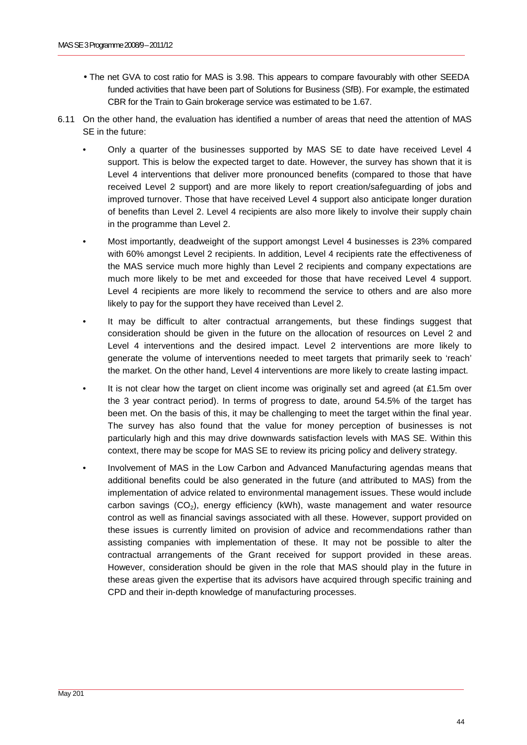- The net GVA to cost ratio for MAS is 3.98. This appears to compare favourably with other SEEDA funded activities that have been part of Solutions for Business (SfB). For example, the estimated CBR for the Train to Gain brokerage service was estimated to be 1.67.
- 6.11 On the other hand, the evaluation has identified a number of areas that need the attention of MAS SE in the future:
	- Only a quarter of the businesses supported by MAS SE to date have received Level 4 support. This is below the expected target to date. However, the survey has shown that it is Level 4 interventions that deliver more pronounced benefits (compared to those that have received Level 2 support) and are more likely to report creation/safeguarding of jobs and improved turnover. Those that have received Level 4 support also anticipate longer duration of benefits than Level 2. Level 4 recipients are also more likely to involve their supply chain in the programme than Level 2.
	- Most importantly, deadweight of the support amongst Level 4 businesses is 23% compared with 60% amongst Level 2 recipients. In addition, Level 4 recipients rate the effectiveness of the MAS service much more highly than Level 2 recipients and company expectations are much more likely to be met and exceeded for those that have received Level 4 support. Level 4 recipients are more likely to recommend the service to others and are also more likely to pay for the support they have received than Level 2.
	- It may be difficult to alter contractual arrangements, but these findings suggest that consideration should be given in the future on the allocation of resources on Level 2 and Level 4 interventions and the desired impact. Level 2 interventions are more likely to generate the volume of interventions needed to meet targets that primarily seek to 'reach' the market. On the other hand, Level 4 interventions are more likely to create lasting impact.
	- It is not clear how the target on client income was originally set and agreed (at £1.5m over the 3 year contract period). In terms of progress to date, around 54.5% of the target has been met. On the basis of this, it may be challenging to meet the target within the final year. The survey has also found that the value for money perception of businesses is not particularly high and this may drive downwards satisfaction levels with MAS SE. Within this context, there may be scope for MAS SE to review its pricing policy and delivery strategy.
	- Involvement of MAS in the Low Carbon and Advanced Manufacturing agendas means that additional benefits could be also generated in the future (and attributed to MAS) from the implementation of advice related to environmental management issues. These would include carbon savings  $(CO<sub>2</sub>)$ , energy efficiency (kWh), waste management and water resource control as well as financial savings associated with all these. However, support provided on these issues is currently limited on provision of advice and recommendations rather than assisting companies with implementation of these. It may not be possible to alter the contractual arrangements of the Grant received for support provided in these areas. However, consideration should be given in the role that MAS should play in the future in these areas given the expertise that its advisors have acquired through specific training and CPD and their in-depth knowledge of manufacturing processes.